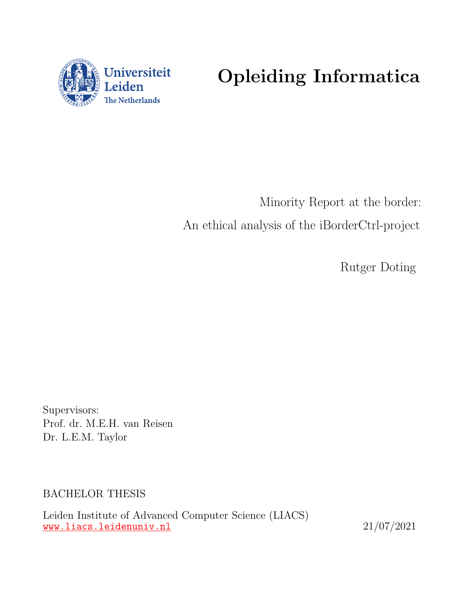

# Opleiding Informatica

Minority Report at the border: An ethical analysis of the iBorderCtrl-project

Rutger Doting

Supervisors: Prof. dr. M.E.H. van Reisen Dr. L.E.M. Taylor

BACHELOR THESIS

Leiden Institute of Advanced Computer Science (LIACS) <www.liacs.leidenuniv.nl> 21/07/2021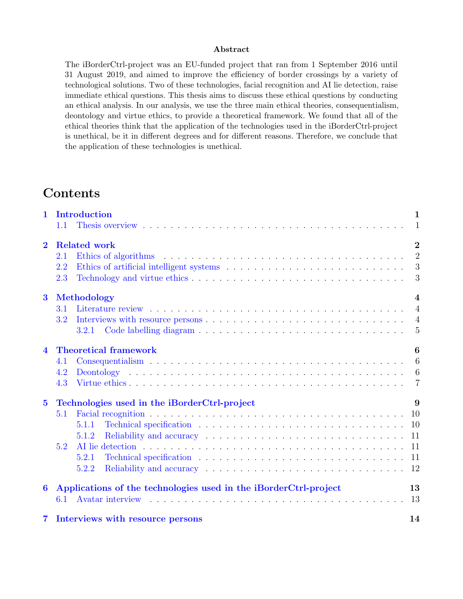#### Abstract

The iBorderCtrl-project was an EU-funded project that ran from 1 September 2016 until 31 August 2019, and aimed to improve the efficiency of border crossings by a variety of technological solutions. Two of these technologies, facial recognition and AI lie detection, raise immediate ethical questions. This thesis aims to discuss these ethical questions by conducting an ethical analysis. In our analysis, we use the three main ethical theories, consequentialism, deontology and virtue ethics, to provide a theoretical framework. We found that all of the ethical theories think that the application of the technologies used in the iBorderCtrl-project is unethical, be it in different degrees and for different reasons. Therefore, we conclude that the application of these technologies is unethical.

# Contents

| $\mathbf{1}$     | <b>Introduction</b><br>1.1                                                                                                                                                                                                              | $\mathbf{1}$<br>$\mathbf{1}$ |
|------------------|-----------------------------------------------------------------------------------------------------------------------------------------------------------------------------------------------------------------------------------------|------------------------------|
|                  |                                                                                                                                                                                                                                         |                              |
| $\overline{2}$   | <b>Related work</b>                                                                                                                                                                                                                     | $\overline{2}$               |
|                  | Ethics of algorithms entering in the set of the set of the set of the set of the set of the set of the set of the set of the set of the set of the set of the set of the set of the set of the set of the set of the set of th<br>2.1   | $\overline{2}$               |
|                  | 2.2                                                                                                                                                                                                                                     | 3                            |
|                  | 2.3                                                                                                                                                                                                                                     | 3                            |
| $\bf{3}$         | <b>Methodology</b>                                                                                                                                                                                                                      | $\overline{\mathbf{4}}$      |
|                  | 3.1                                                                                                                                                                                                                                     | $\overline{4}$               |
|                  | 3.2                                                                                                                                                                                                                                     | $\overline{4}$               |
|                  | 3.2.1                                                                                                                                                                                                                                   | -5                           |
| $\blacktriangle$ | <b>Theoretical framework</b>                                                                                                                                                                                                            | 6                            |
|                  | 4.1                                                                                                                                                                                                                                     | 6                            |
|                  | 4.2                                                                                                                                                                                                                                     | $6\phantom{.}6$              |
|                  | 4.3                                                                                                                                                                                                                                     | $\overline{7}$               |
| $\overline{5}$   | Technologies used in the iBorderCtrl-project                                                                                                                                                                                            | 9                            |
|                  | 5.1                                                                                                                                                                                                                                     | - 10                         |
|                  | Technical specification enterprise in the contract of the second specification enterprise in the second specific second specific second specific second specific second specific second specific second specific second specif<br>5.1.1 | 10                           |
|                  | 5.1.2                                                                                                                                                                                                                                   |                              |
|                  | 5.2                                                                                                                                                                                                                                     | 11                           |
|                  | Technical specification (a) is a series of the series of the series of the series of the series of the series of the series of the series of the series of the series of the series of the series of the series of the series<br>5.2.1  | 11                           |
|                  | 5.2.2                                                                                                                                                                                                                                   |                              |
| 6                | Applications of the technologies used in the iBorderCtrl-project                                                                                                                                                                        | 13                           |
|                  | 6.1                                                                                                                                                                                                                                     | 13                           |
| 7                | Interviews with resource persons                                                                                                                                                                                                        | 14                           |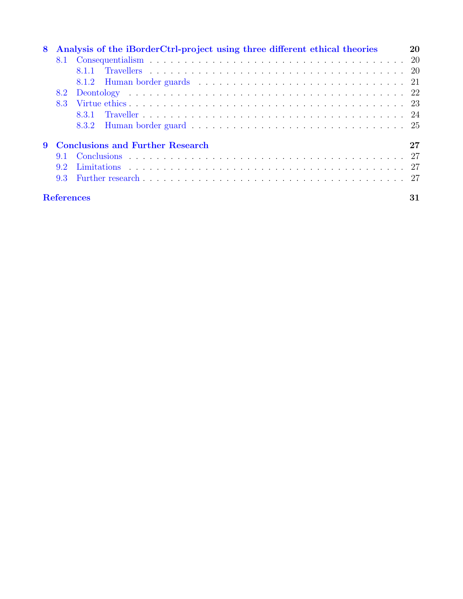| 8 |                   | Analysis of the iBorderCtrl-project using three different ethical theories | 20 |
|---|-------------------|----------------------------------------------------------------------------|----|
|   | 8.1               |                                                                            |    |
|   |                   | 811                                                                        |    |
|   |                   |                                                                            |    |
|   |                   |                                                                            |    |
|   | 8.3               |                                                                            |    |
|   |                   | 8.3.1                                                                      |    |
|   |                   | 8.3.2                                                                      |    |
| 9 |                   | <b>Conclusions and Further Research</b>                                    | 27 |
|   | 9.1               |                                                                            |    |
|   | 9.2               |                                                                            |    |
|   | 93                |                                                                            |    |
|   | <b>References</b> |                                                                            | 31 |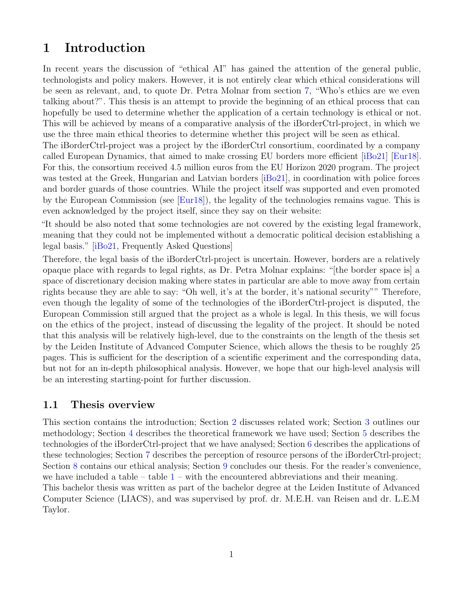# <span id="page-3-0"></span>1 Introduction

In recent years the discussion of "ethical AI" has gained the attention of the general public, technologists and policy makers. However, it is not entirely clear which ethical considerations will be seen as relevant, and, to quote Dr. Petra Molnar from section [7,](#page-16-0) "Who's ethics are we even talking about?". This thesis is an attempt to provide the beginning of an ethical process that can hopefully be used to determine whether the application of a certain technology is ethical or not. This will be achieved by means of a comparative analysis of the iBorderCtrl-project, in which we use the three main ethical theories to determine whether this project will be seen as ethical.

The iBorderCtrl-project was a project by the iBorderCtrl consortium, coordinated by a company called European Dynamics, that aimed to make crossing EU borders more efficient [\[iBo21\]](#page-31-0) [\[Eur18\]](#page-31-1). For this, the consortium received 4.5 million euros from the EU Horizon 2020 program. The project was tested at the Greek, Hungarian and Latvian borders [\[iBo21\]](#page-31-0), in coordination with police forces and border guards of those countries. While the project itself was supported and even promoted by the European Commission (see [\[Eur18\]](#page-31-1)), the legality of the technologies remains vague. This is even acknowledged by the project itself, since they say on their website:

"It should be also noted that some technologies are not covered by the existing legal framework, meaning that they could not be implemented without a democratic political decision establishing a legal basis." [\[iBo21,](#page-31-0) Frequently Asked Questions]

Therefore, the legal basis of the iBorderCtrl-project is uncertain. However, borders are a relatively opaque place with regards to legal rights, as Dr. Petra Molnar explains: "[the border space is] a space of discretionary decision making where states in particular are able to move away from certain rights because they are able to say: "Oh well, it's at the border, it's national security"" Therefore, even though the legality of some of the technologies of the iBorderCtrl-project is disputed, the European Commission still argued that the project as a whole is legal. In this thesis, we will focus on the ethics of the project, instead of discussing the legality of the project. It should be noted that this analysis will be relatively high-level, due to the constraints on the length of the thesis set by the Leiden Institute of Advanced Computer Science, which allows the thesis to be roughly 25 pages. This is sufficient for the description of a scientific experiment and the corresponding data, but not for an in-depth philosophical analysis. However, we hope that our high-level analysis will be an interesting starting-point for further discussion.

#### <span id="page-3-1"></span>1.1 Thesis overview

This section contains the introduction; Section [2](#page-4-0) discusses related work; Section [3](#page-6-0) outlines our methodology; Section [4](#page-8-0) describes the theoretical framework we have used; Section [5](#page-11-0) describes the technologies of the iBorderCtrl-project that we have analysed; Section [6](#page-15-0) describes the applications of these technologies; Section [7](#page-16-0) describes the perception of resource persons of the iBorderCtrl-project; Section [8](#page-22-0) contains our ethical analysis; Section [9](#page-29-0) concludes our thesis. For the reader's convenience, we have included a table  $-$  table  $1$  – with the encountered abbreviations and their meaning.

This bachelor thesis was written as part of the bachelor degree at the Leiden Institute of Advanced Computer Science (LIACS), and was supervised by prof. dr. M.E.H. van Reisen and dr. L.E.M Taylor.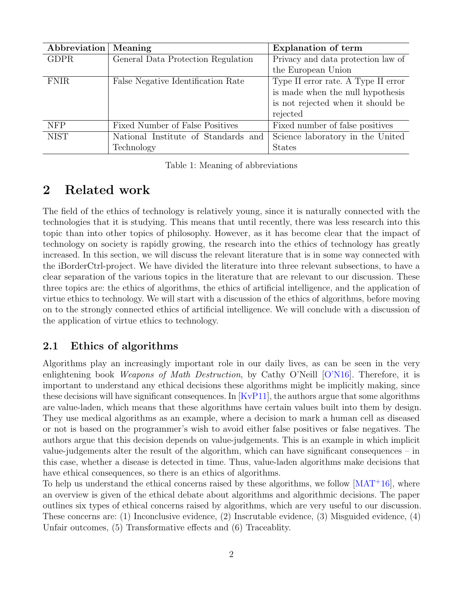| Abbreviation | Meaning                             | <b>Explanation of term</b>          |  |
|--------------|-------------------------------------|-------------------------------------|--|
| <b>GDPR</b>  | General Data Protection Regulation  | Privacy and data protection law of  |  |
|              |                                     | the European Union                  |  |
| <b>FNIR</b>  | False Negative Identification Rate  | Type II error rate. A Type II error |  |
|              |                                     | is made when the null hypothesis    |  |
|              |                                     | is not rejected when it should be   |  |
|              |                                     | rejected                            |  |
| <b>NFP</b>   | Fixed Number of False Positives     | Fixed number of false positives     |  |
| <b>NIST</b>  | National Institute of Standards and | Science laboratory in the United    |  |
|              | Technology                          | <b>States</b>                       |  |

<span id="page-4-2"></span>Table 1: Meaning of abbreviations

# <span id="page-4-0"></span>2 Related work

The field of the ethics of technology is relatively young, since it is naturally connected with the technologies that it is studying. This means that until recently, there was less research into this topic than into other topics of philosophy. However, as it has become clear that the impact of technology on society is rapidly growing, the research into the ethics of technology has greatly increased. In this section, we will discuss the relevant literature that is in some way connected with the iBorderCtrl-project. We have divided the literature into three relevant subsections, to have a clear separation of the various topics in the literature that are relevant to our discussion. These three topics are: the ethics of algorithms, the ethics of artificial intelligence, and the application of virtue ethics to technology. We will start with a discussion of the ethics of algorithms, before moving on to the strongly connected ethics of artificial intelligence. We will conclude with a discussion of the application of virtue ethics to technology.

#### <span id="page-4-1"></span>2.1 Ethics of algorithms

Algorithms play an increasingly important role in our daily lives, as can be seen in the very enlightening book *Weapons of Math Destruction*, by Cathy O'Neill [\[O'N16\]](#page-32-0). Therefore, it is important to understand any ethical decisions these algorithms might be implicitly making, since these decisions will have significant consequences. In  $[KvP11]$ , the authors argue that some algorithms are value-laden, which means that these algorithms have certain values built into them by design. They use medical algorithms as an example, where a decision to mark a human cell as diseased or not is based on the programmer's wish to avoid either false positives or false negatives. The authors argue that this decision depends on value-judgements. This is an example in which implicit value-judgements alter the result of the algorithm, which can have significant consequences – in this case, whether a disease is detected in time. Thus, value-laden algorithms make decisions that have ethical consequences, so there is an ethics of algorithms.

To help us understand the ethical concerns raised by these algorithms, we follow  $[MAT^+16]$  $[MAT^+16]$ , where an overview is given of the ethical debate about algorithms and algorithmic decisions. The paper outlines six types of ethical concerns raised by algorithms, which are very useful to our discussion. These concerns are: (1) Inconclusive evidence, (2) Inscrutable evidence, (3) Misguided evidence, (4) Unfair outcomes, (5) Transformative effects and (6) Traceablity.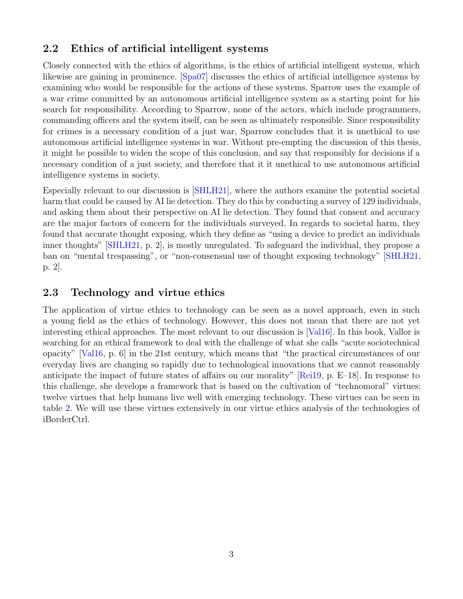#### <span id="page-5-0"></span>2.2 Ethics of artificial intelligent systems

Closely connected with the ethics of algorithms, is the ethics of artificial intelligent systems, which likewise are gaining in prominence. [\[Spa07\]](#page-32-2) discusses the ethics of artificial intelligence systems by examining who would be responsible for the actions of these systems. Sparrow uses the example of a war crime committed by an autonomous artificial intelligence system as a starting point for his search for responsibility. According to Sparrow, none of the actors, which include programmers, commanding officers and the system itself, can be seen as ultimately responsible. Since responsibility for crimes is a necessary condition of a just war, Sparrow concludes that it is unethical to use autonomous artificial intelligence systems in war. Without pre-empting the discussion of this thesis, it might be possible to widen the scope of this conclusion, and say that responsibly for decisions if a necessary condition of a just society, and therefore that it it unethical to use autonomous artificial intelligence systems in society.

Especially relevant to our discussion is [\[SHLH21\]](#page-32-3), where the authors examine the potential societal harm that could be caused by AI lie detection. They do this by conducting a survey of 129 individuals, and asking them about their perspective on AI lie detection. They found that consent and accuracy are the major factors of concern for the individuals surveyed. In regards to societal harm, they found that accurate thought exposing, which they define as "using a device to predict an individuals inner thoughts" [\[SHLH21,](#page-32-3) p. 2], is mostly unregulated. To safeguard the individual, they propose a ban on "mental trespassing", or "non-consensual use of thought exposing technology" [\[SHLH21,](#page-32-3) p. 2].

#### <span id="page-5-1"></span>2.3 Technology and virtue ethics

The application of virtue ethics to technology can be seen as a novel approach, even in such a young field as the ethics of technology. However, this does not mean that there are not yet interesting ethical approaches. The most relevant to our discussion is [\[Val16\]](#page-33-0). In this book, Vallor is searching for an ethical framework to deal with the challenge of what she calls "acute sociotechnical opacity" [\[Val16,](#page-33-0) p. 6] in the 21st century, which means that "the practical circumstances of our everyday lives are changing so rapidly due to technological innovations that we cannot reasonably anticipate the impact of future states of affairs on our morality" [\[Rei19,](#page-32-4) p. E–18]. In response to this challenge, she develops a framework that is based on the cultivation of "technomoral" virtues; twelve virtues that help humans live well with emerging technology. These virtues can be seen in table [2.](#page-10-0) We will use these virtues extensively in our virtue ethics analysis of the technologies of iBorderCtrl.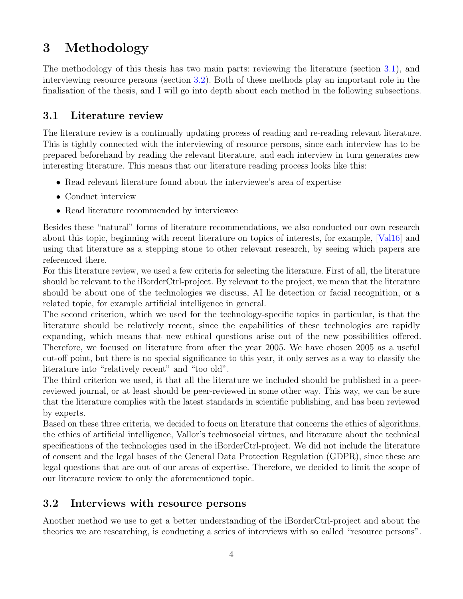# <span id="page-6-0"></span>3 Methodology

The methodology of this thesis has two main parts: reviewing the literature (section [3.1\)](#page-6-1), and interviewing resource persons (section [3.2\)](#page-6-2). Both of these methods play an important role in the finalisation of the thesis, and I will go into depth about each method in the following subsections.

## <span id="page-6-1"></span>3.1 Literature review

The literature review is a continually updating process of reading and re-reading relevant literature. This is tightly connected with the interviewing of resource persons, since each interview has to be prepared beforehand by reading the relevant literature, and each interview in turn generates new interesting literature. This means that our literature reading process looks like this:

- Read relevant literature found about the interviewee's area of expertise
- Conduct interview
- Read literature recommended by interviewee

Besides these "natural" forms of literature recommendations, we also conducted our own research about this topic, beginning with recent literature on topics of interests, for example, [\[Val16\]](#page-33-0) and using that literature as a stepping stone to other relevant research, by seeing which papers are referenced there.

For this literature review, we used a few criteria for selecting the literature. First of all, the literature should be relevant to the iBorderCtrl-project. By relevant to the project, we mean that the literature should be about one of the technologies we discuss, AI lie detection or facial recognition, or a related topic, for example artificial intelligence in general.

The second criterion, which we used for the technology-specific topics in particular, is that the literature should be relatively recent, since the capabilities of these technologies are rapidly expanding, which means that new ethical questions arise out of the new possibilities offered. Therefore, we focused on literature from after the year 2005. We have chosen 2005 as a useful cut-off point, but there is no special significance to this year, it only serves as a way to classify the literature into "relatively recent" and "too old".

The third criterion we used, it that all the literature we included should be published in a peerreviewed journal, or at least should be peer-reviewed in some other way. This way, we can be sure that the literature complies with the latest standards in scientific publishing, and has been reviewed by experts.

Based on these three criteria, we decided to focus on literature that concerns the ethics of algorithms, the ethics of artificial intelligence, Vallor's technosocial virtues, and literature about the technical specifications of the technologies used in the iBorderCtrl-project. We did not include the literature of consent and the legal bases of the General Data Protection Regulation (GDPR), since these are legal questions that are out of our areas of expertise. Therefore, we decided to limit the scope of our literature review to only the aforementioned topic.

### <span id="page-6-2"></span>3.2 Interviews with resource persons

Another method we use to get a better understanding of the iBorderCtrl-project and about the theories we are researching, is conducting a series of interviews with so called "resource persons".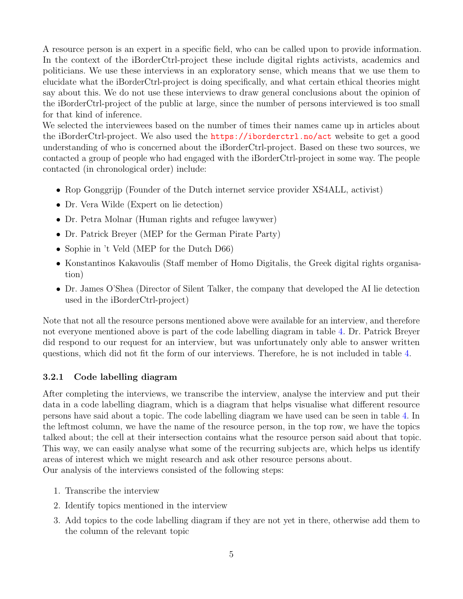A resource person is an expert in a specific field, who can be called upon to provide information. In the context of the iBorderCtrl-project these include digital rights activists, academics and politicians. We use these interviews in an exploratory sense, which means that we use them to elucidate what the iBorderCtrl-project is doing specifically, and what certain ethical theories might say about this. We do not use these interviews to draw general conclusions about the opinion of the iBorderCtrl-project of the public at large, since the number of persons interviewed is too small for that kind of inference.

We selected the interviewees based on the number of times their names came up in articles about the iBorderCtrl-project. We also used the <https://iborderctrl.no/act> website to get a good understanding of who is concerned about the iBorderCtrl-project. Based on these two sources, we contacted a group of people who had engaged with the iBorderCtrl-project in some way. The people contacted (in chronological order) include:

- Rop Gonggrijp (Founder of the Dutch internet service provider XS4ALL, activist)
- Dr. Vera Wilde (Expert on lie detection)
- Dr. Petra Molnar (Human rights and refugee lawywer)
- Dr. Patrick Breyer (MEP for the German Pirate Party)
- Sophie in 't Veld (MEP for the Dutch D66)
- Konstantinos Kakavoulis (Staff member of Homo Digitalis, the Greek digital rights organisation)
- Dr. James O'Shea (Director of Silent Talker, the company that developed the AI lie detection used in the iBorderCtrl-project)

Note that not all the resource persons mentioned above were available for an interview, and therefore not everyone mentioned above is part of the code labelling diagram in table [4.](#page-18-0) Dr. Patrick Breyer did respond to our request for an interview, but was unfortunately only able to answer written questions, which did not fit the form of our interviews. Therefore, he is not included in table [4.](#page-18-0)

#### <span id="page-7-0"></span>3.2.1 Code labelling diagram

After completing the interviews, we transcribe the interview, analyse the interview and put their data in a code labelling diagram, which is a diagram that helps visualise what different resource persons have said about a topic. The code labelling diagram we have used can be seen in table [4.](#page-18-0) In the leftmost column, we have the name of the resource person, in the top row, we have the topics talked about; the cell at their intersection contains what the resource person said about that topic. This way, we can easily analyse what some of the recurring subjects are, which helps us identify areas of interest which we might research and ask other resource persons about. Our analysis of the interviews consisted of the following steps:

- 1. Transcribe the interview
- 2. Identify topics mentioned in the interview
- 3. Add topics to the code labelling diagram if they are not yet in there, otherwise add them to the column of the relevant topic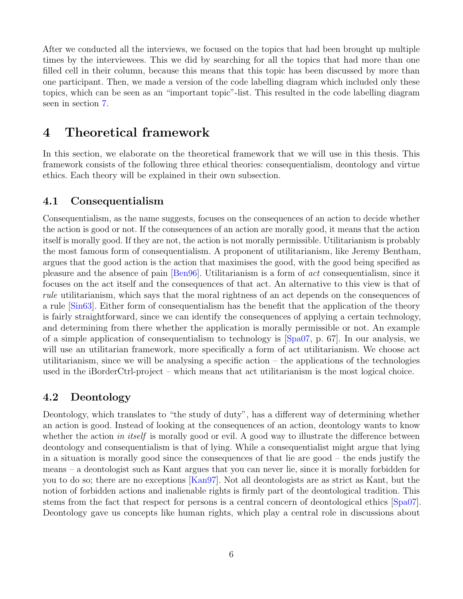After we conducted all the interviews, we focused on the topics that had been brought up multiple times by the interviewees. This we did by searching for all the topics that had more than one filled cell in their column, because this means that this topic has been discussed by more than one participant. Then, we made a version of the code labelling diagram which included only these topics, which can be seen as an "important topic"-list. This resulted in the code labelling diagram seen in section [7.](#page-16-0)

# <span id="page-8-0"></span>4 Theoretical framework

In this section, we elaborate on the theoretical framework that we will use in this thesis. This framework consists of the following three ethical theories: consequentialism, deontology and virtue ethics. Each theory will be explained in their own subsection.

#### <span id="page-8-1"></span>4.1 Consequentialism

Consequentialism, as the name suggests, focuses on the consequences of an action to decide whether the action is good or not. If the consequences of an action are morally good, it means that the action itself is morally good. If they are not, the action is not morally permissible. Utilitarianism is probably the most famous form of consequentialism. A proponent of utilitarianism, like Jeremy Bentham, argues that the good action is the action that maximises the good, with the good being specified as pleasure and the absence of pain [\[Ben96\]](#page-30-1). Utilitarianism is a form of act consequentialism, since it focuses on the act itself and the consequences of that act. An alternative to this view is that of rule utilitarianism, which says that the moral rightness of an act depends on the consequences of a rule [\[Sin63\]](#page-32-5). Either form of consequentialism has the benefit that the application of the theory is fairly straightforward, since we can identify the consequences of applying a certain technology, and determining from there whether the application is morally permissible or not. An example of a simple application of consequentialism to technology is [\[Spa07,](#page-32-2) p. 67]. In our analysis, we will use an utilitarian framework, more specifically a form of act utilitarianism. We choose act utilitarianism, since we will be analysing a specific action  $-$  the applications of the technologies used in the iBorderCtrl-project – which means that act utilitarianism is the most logical choice.

#### <span id="page-8-2"></span>4.2 Deontology

Deontology, which translates to "the study of duty", has a different way of determining whether an action is good. Instead of looking at the consequences of an action, deontology wants to know whether the action in itself is morally good or evil. A good way to illustrate the difference between deontology and consequentialism is that of lying. While a consequentialist might argue that lying in a situation is morally good since the consequences of that lie are good – the ends justify the means – a deontologist such as Kant argues that you can never lie, since it is morally forbidden for you to do so; there are no exceptions [\[Kan97\]](#page-31-3). Not all deontologists are as strict as Kant, but the notion of forbidden actions and inalienable rights is firmly part of the deontological tradition. This stems from the fact that respect for persons is a central concern of deontological ethics [\[Spa07\]](#page-32-2). Deontology gave us concepts like human rights, which play a central role in discussions about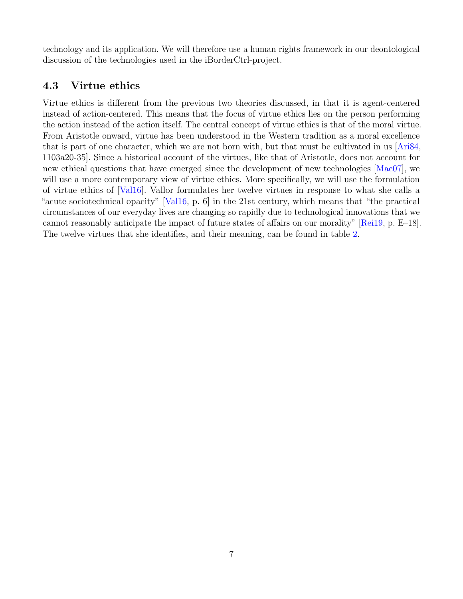technology and its application. We will therefore use a human rights framework in our deontological discussion of the technologies used in the iBorderCtrl-project.

### <span id="page-9-0"></span>4.3 Virtue ethics

Virtue ethics is different from the previous two theories discussed, in that it is agent-centered instead of action-centered. This means that the focus of virtue ethics lies on the person performing the action instead of the action itself. The central concept of virtue ethics is that of the moral virtue. From Aristotle onward, virtue has been understood in the Western tradition as a moral excellence that is part of one character, which we are not born with, but that must be cultivated in us [\[Ari84,](#page-30-2) 1103a20-35]. Since a historical account of the virtues, like that of Aristotle, does not account for new ethical questions that have emerged since the development of new technologies [\[Mac07\]](#page-32-6), we will use a more contemporary view of virtue ethics. More specifically, we will use the formulation of virtue ethics of [\[Val16\]](#page-33-0). Vallor formulates her twelve virtues in response to what she calls a "acute sociotechnical opacity" [\[Val16,](#page-33-0) p. 6] in the 21st century, which means that "the practical circumstances of our everyday lives are changing so rapidly due to technological innovations that we cannot reasonably anticipate the impact of future states of affairs on our morality" [\[Rei19,](#page-32-4) p. E–18]. The twelve virtues that she identifies, and their meaning, can be found in table [2.](#page-10-0)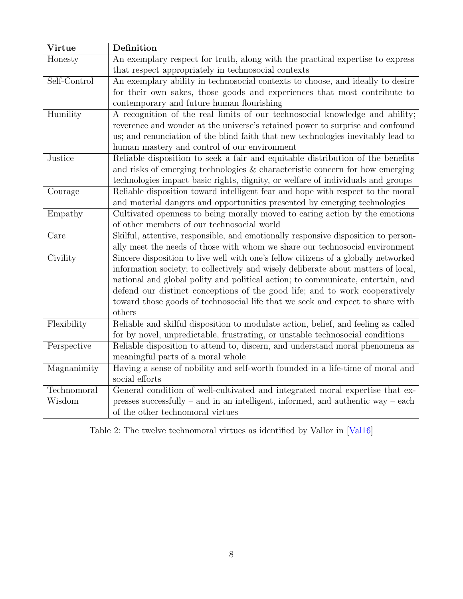| Virtue                | Definition                                                                                                                                                                                                                                                                                                                                                                                                                             |
|-----------------------|----------------------------------------------------------------------------------------------------------------------------------------------------------------------------------------------------------------------------------------------------------------------------------------------------------------------------------------------------------------------------------------------------------------------------------------|
| Honesty               | An exemplary respect for truth, along with the practical expertise to express<br>that respect appropriately in technosocial contexts                                                                                                                                                                                                                                                                                                   |
| Self-Control          | An exemplary ability in technosocial contexts to choose, and ideally to desire<br>for their own sakes, those goods and experiences that most contribute to<br>contemporary and future human flourishing                                                                                                                                                                                                                                |
| Humility              | A recognition of the real limits of our technosocial knowledge and ability;<br>reverence and wonder at the universe's retained power to surprise and confound<br>us; and renunciation of the blind faith that new technologies inevitably lead to<br>human mastery and control of our environment                                                                                                                                      |
| Justice               | Reliable disposition to seek a fair and equitable distribution of the benefits<br>and risks of emerging technologies $\&$ characteristic concern for how emerging<br>technologies impact basic rights, dignity, or welfare of individuals and groups                                                                                                                                                                                   |
| Courage               | Reliable disposition toward intelligent fear and hope with respect to the moral<br>and material dangers and opportunities presented by emerging technologies                                                                                                                                                                                                                                                                           |
| Empathy               | Cultivated openness to being morally moved to caring action by the emotions<br>of other members of our technosocial world                                                                                                                                                                                                                                                                                                              |
| Care                  | Skilful, attentive, responsible, and emotionally responsive disposition to person-<br>ally meet the needs of those with whom we share our technosocial environment                                                                                                                                                                                                                                                                     |
| Civility              | Sincere disposition to live well with one's fellow citizens of a globally networked<br>information society; to collectively and wisely deliberate about matters of local,<br>national and global polity and political action; to communicate, entertain, and<br>defend our distinct conceptions of the good life; and to work cooperatively<br>toward those goods of technosocial life that we seek and expect to share with<br>others |
| Flexibility           | Reliable and skilful disposition to modulate action, belief, and feeling as called<br>for by novel, unpredictable, frustrating, or unstable technosocial conditions                                                                                                                                                                                                                                                                    |
| Perspective           | Reliable disposition to attend to, discern, and understand moral phenomena as<br>meaningful parts of a moral whole                                                                                                                                                                                                                                                                                                                     |
| Magnanimity           | Having a sense of nobility and self-worth founded in a life-time of moral and<br>social efforts                                                                                                                                                                                                                                                                                                                                        |
| Technomoral<br>Wisdom | General condition of well-cultivated and integrated moral expertise that ex-<br>presses successfully $-$ and in an intelligent, informed, and authentic way $-$ each<br>of the other technomoral virtues                                                                                                                                                                                                                               |

<span id="page-10-0"></span>Table 2: The twelve technomoral virtues as identified by Vallor in [\[Val16\]](#page-33-0)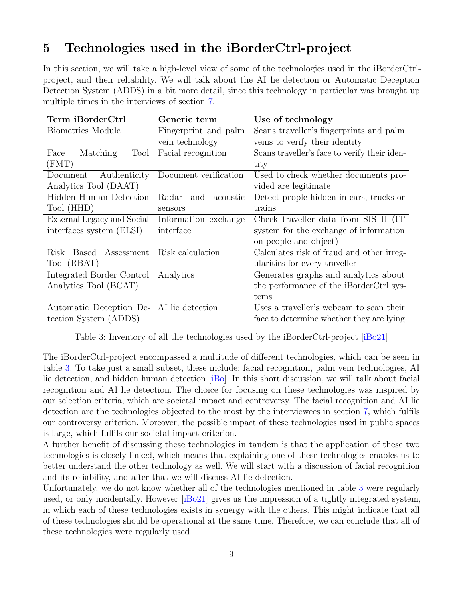# <span id="page-11-0"></span>5 Technologies used in the iBorderCtrl-project

In this section, we will take a high-level view of some of the technologies used in the iBorderCtrlproject, and their reliability. We will talk about the AI lie detection or Automatic Deception Detection System (ADDS) in a bit more detail, since this technology in particular was brought up multiple times in the interviews of section [7.](#page-16-0)

| Term iBorderCtrl                   | Generic term          | Use of technology                            |  |
|------------------------------------|-----------------------|----------------------------------------------|--|
| <b>Biometrics Module</b>           | Fingerprint and palm  | Scans traveller's fingerprints and palm      |  |
|                                    | vein technology       | veins to verify their identity               |  |
| Matching<br>Tool<br>Face           | Facial recognition    | Scans traveller's face to verify their iden- |  |
| (FMT)                              |                       | tity                                         |  |
| Authenticity<br>Document           | Document verification | Used to check whether documents pro-         |  |
| Analytics Tool (DAAT)              |                       | vided are legitimate                         |  |
| Hidden Human Detection             | Radar and<br>acoustic | Detect people hidden in cars, trucks or      |  |
| Tool (HHD)                         | sensors               | trains                                       |  |
| External Legacy and Social         | Information exchange  | Check traveller data from SIS II (IT         |  |
| interfaces system (ELSI)           | interface             | system for the exchange of information       |  |
|                                    |                       | on people and object)                        |  |
| Assessment<br>Risk<br><b>Based</b> | Risk calculation      | Calculates risk of fraud and other irreg-    |  |
| Tool (RBAT)                        |                       | ularities for every traveller                |  |
| Integrated Border Control          | Analytics             | Generates graphs and analytics about         |  |
| Analytics Tool (BCAT)              |                       | the performance of the iBorderCtrl sys-      |  |
|                                    |                       | tems                                         |  |
| Automatic Deception De-            | AI lie detection      | Uses a traveller's webcam to scan their      |  |
| tection System (ADDS)              |                       | face to determine whether they are lying     |  |

<span id="page-11-1"></span>Table 3: Inventory of all the technologies used by the iBorderCtrl-project [\[iBo21\]](#page-31-0)

The iBorderCtrl-project encompassed a multitude of different technologies, which can be seen in table [3.](#page-11-1) To take just a small subset, these include: facial recognition, palm vein technologies, AI lie detection, and hidden human detection [\[iBo\]](#page-31-4). In this short discussion, we will talk about facial recognition and AI lie detection. The choice for focusing on these technologies was inspired by our selection criteria, which are societal impact and controversy. The facial recognition and AI lie detection are the technologies objected to the most by the interviewees in section [7,](#page-16-0) which fulfils our controversy criterion. Moreover, the possible impact of these technologies used in public spaces is large, which fulfils our societal impact criterion.

A further benefit of discussing these technologies in tandem is that the application of these two technologies is closely linked, which means that explaining one of these technologies enables us to better understand the other technology as well. We will start with a discussion of facial recognition and its reliability, and after that we will discuss AI lie detection.

Unfortunately, we do not know whether all of the technologies mentioned in table [3](#page-11-1) were regularly used, or only incidentally. However [\[iBo21\]](#page-31-0) gives us the impression of a tightly integrated system, in which each of these technologies exists in synergy with the others. This might indicate that all of these technologies should be operational at the same time. Therefore, we can conclude that all of these technologies were regularly used.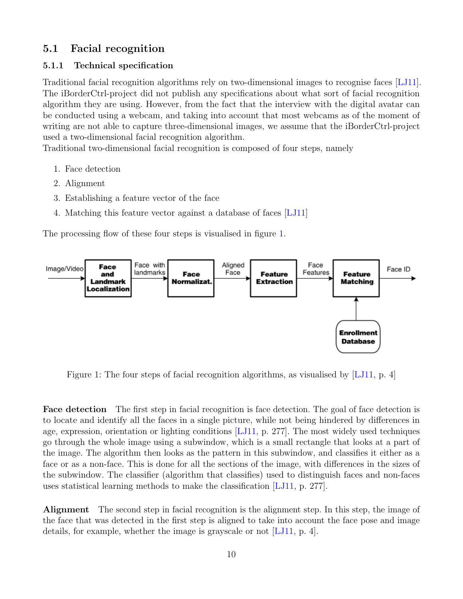### <span id="page-12-0"></span>5.1 Facial recognition

#### <span id="page-12-1"></span>5.1.1 Technical specification

Traditional facial recognition algorithms rely on two-dimensional images to recognise faces [\[LJ11\]](#page-32-7). The iBorderCtrl-project did not publish any specifications about what sort of facial recognition algorithm they are using. However, from the fact that the interview with the digital avatar can be conducted using a webcam, and taking into account that most webcams as of the moment of writing are not able to capture three-dimensional images, we assume that the iBorderCtrl-project used a two-dimensional facial recognition algorithm.

Traditional two-dimensional facial recognition is composed of four steps, namely

- 1. Face detection
- 2. Alignment
- 3. Establishing a feature vector of the face
- 4. Matching this feature vector against a database of faces [\[LJ11\]](#page-32-7)

The processing flow of these four steps is visualised in figure [1.](#page-12-2)



<span id="page-12-2"></span>Figure 1: The four steps of facial recognition algorithms, as visualised by [\[LJ11,](#page-32-7) p. 4]

Face detection The first step in facial recognition is face detection. The goal of face detection is to locate and identify all the faces in a single picture, while not being hindered by differences in age, expression, orientation or lighting conditions [\[LJ11,](#page-32-7) p. 277]. The most widely used techniques go through the whole image using a subwindow, which is a small rectangle that looks at a part of the image. The algorithm then looks as the pattern in this subwindow, and classifies it either as a face or as a non-face. This is done for all the sections of the image, with differences in the sizes of the subwindow. The classifier (algorithm that classifies) used to distinguish faces and non-faces uses statistical learning methods to make the classification [\[LJ11,](#page-32-7) p. 277].

Alignment The second step in facial recognition is the alignment step. In this step, the image of the face that was detected in the first step is aligned to take into account the face pose and image details, for example, whether the image is grayscale or not [\[LJ11,](#page-32-7) p. 4].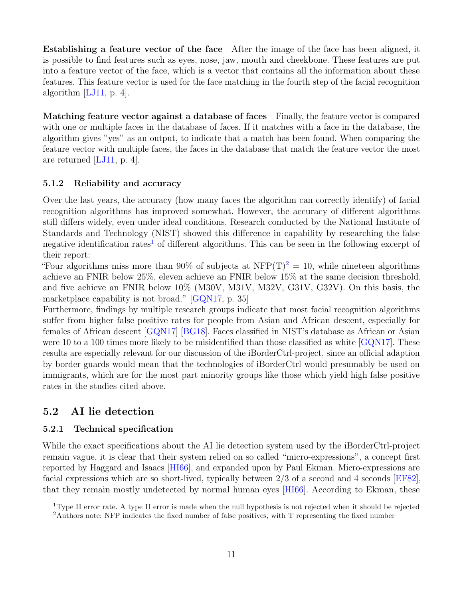Establishing a feature vector of the face After the image of the face has been aligned, it is possible to find features such as eyes, nose, jaw, mouth and cheekbone. These features are put into a feature vector of the face, which is a vector that contains all the information about these features. This feature vector is used for the face matching in the fourth step of the facial recognition algorithm  $[LJ11, p. 4]$  $[LJ11, p. 4]$ .

Matching feature vector against a database of faces Finally, the feature vector is compared with one or multiple faces in the database of faces. If it matches with a face in the database, the algorithm gives "yes" as an output, to indicate that a match has been found. When comparing the feature vector with multiple faces, the faces in the database that match the feature vector the most are returned [\[LJ11,](#page-32-7) p. 4].

#### <span id="page-13-0"></span>5.1.2 Reliability and accuracy

Over the last years, the accuracy (how many faces the algorithm can correctly identify) of facial recognition algorithms has improved somewhat. However, the accuracy of different algorithms still differs widely, even under ideal conditions. Research conducted by the National Institute of Standards and Technology (NIST) showed this difference in capability by researching the false negative identification rates<sup>[1](#page-13-3)</sup> of different algorithms. This can be seen in the following excerpt of their report:

"Four algorithms miss more than 90% of subjects at  $NFP(T)^{2} = 10$  $NFP(T)^{2} = 10$  $NFP(T)^{2} = 10$ , while nineteen algorithms achieve an FNIR below 25%, eleven achieve an FNIR below 15% at the same decision threshold, and five achieve an FNIR below 10% (M30V, M31V, M32V, G31V, G32V). On this basis, the marketplace capability is not broad." [\[GQN17,](#page-31-5) p. 35]

Furthermore, findings by multiple research groups indicate that most facial recognition algorithms suffer from higher false positive rates for people from Asian and African descent, especially for females of African descent [\[GQN17\]](#page-31-5) [\[BG18\]](#page-30-3). Faces classified in NIST's database as African or Asian were 10 to a 100 times more likely to be misidentified than those classified as white  $[GQN17]$ . These results are especially relevant for our discussion of the iBorderCtrl-project, since an official adaption by border guards would mean that the technologies of iBorderCtrl would presumably be used on immigrants, which are for the most part minority groups like those which yield high false positive rates in the studies cited above.

#### <span id="page-13-1"></span>5.2 AI lie detection

#### <span id="page-13-2"></span>5.2.1 Technical specification

While the exact specifications about the AI lie detection system used by the iBorderCtrl-project remain vague, it is clear that their system relied on so called "micro-expressions", a concept first reported by Haggard and Isaacs [\[HI66\]](#page-31-6), and expanded upon by Paul Ekman. Micro-expressions are facial expressions which are so short-lived, typically between 2/3 of a second and 4 seconds [\[EF82\]](#page-31-7), that they remain mostly undetected by normal human eyes [\[HI66\]](#page-31-6). According to Ekman, these

<span id="page-13-3"></span><sup>1</sup>Type II error rate. A type II error is made when the null hypothesis is not rejected when it should be rejected

<span id="page-13-4"></span><sup>2</sup>Authors note: NFP indicates the fixed number of false positives, with T representing the fixed number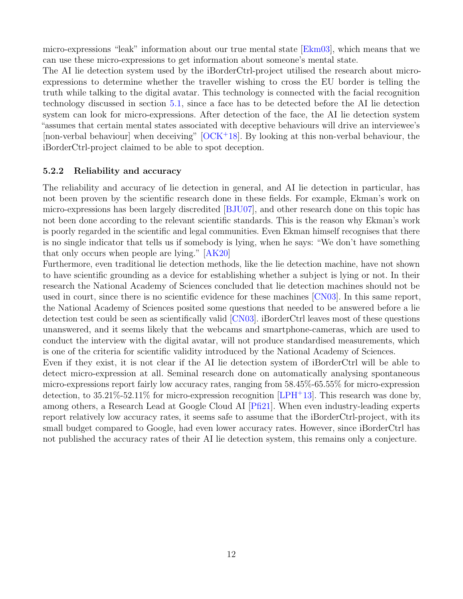micro-expressions "leak" information about our true mental state [\[Ekm03\]](#page-31-8), which means that we can use these micro-expressions to get information about someone's mental state.

The AI lie detection system used by the iBorderCtrl-project utilised the research about microexpressions to determine whether the traveller wishing to cross the EU border is telling the truth while talking to the digital avatar. This technology is connected with the facial recognition technology discussed in section [5.1,](#page-12-0) since a face has to be detected before the AI lie detection system can look for micro-expressions. After detection of the face, the AI lie detection system "assumes that certain mental states associated with deceptive behaviours will drive an interviewee's [non-verbal behaviour] when deceiving"  $[OCK<sup>+</sup>18]$  $[OCK<sup>+</sup>18]$ . By looking at this non-verbal behaviour, the iBorderCtrl-project claimed to be able to spot deception.

#### <span id="page-14-0"></span>5.2.2 Reliability and accuracy

The reliability and accuracy of lie detection in general, and AI lie detection in particular, has not been proven by the scientific research done in these fields. For example, Ekman's work on micro-expressions has been largely discredited [\[BJU07\]](#page-30-4), and other research done on this topic has not been done according to the relevant scientific standards. This is the reason why Ekman's work is poorly regarded in the scientific and legal communities. Even Ekman himself recognises that there is no single indicator that tells us if somebody is lying, when he says: "We don't have something that only occurs when people are lying." [\[AK20\]](#page-30-5)

Furthermore, even traditional lie detection methods, like the lie detection machine, have not shown to have scientific grounding as a device for establishing whether a subject is lying or not. In their research the National Academy of Sciences concluded that lie detection machines should not be used in court, since there is no scientific evidence for these machines [\[CN03\]](#page-30-6). In this same report, the National Academy of Sciences posited some questions that needed to be answered before a lie detection test could be seen as scientifically valid [\[CN03\]](#page-30-6). iBorderCtrl leaves most of these questions unanswered, and it seems likely that the webcams and smartphone-cameras, which are used to conduct the interview with the digital avatar, will not produce standardised measurements, which is one of the criteria for scientific validity introduced by the National Academy of Sciences.

Even if they exist, it is not clear if the AI lie detection system of iBorderCtrl will be able to detect micro-expression at all. Seminal research done on automatically analysing spontaneous micro-expressions report fairly low accuracy rates, ranging from 58.45%-65.55% for micro-expression detection, to  $35.21\%$ -52.11% for micro-expression recognition [\[LPH](#page-32-9)+13]. This research was done by, among others, a Research Lead at Google Cloud AI [\[Pfi21\]](#page-32-10). When even industry-leading experts report relatively low accuracy rates, it seems safe to assume that the iBorderCtrl-project, with its small budget compared to Google, had even lower accuracy rates. However, since iBorderCtrl has not published the accuracy rates of their AI lie detection system, this remains only a conjecture.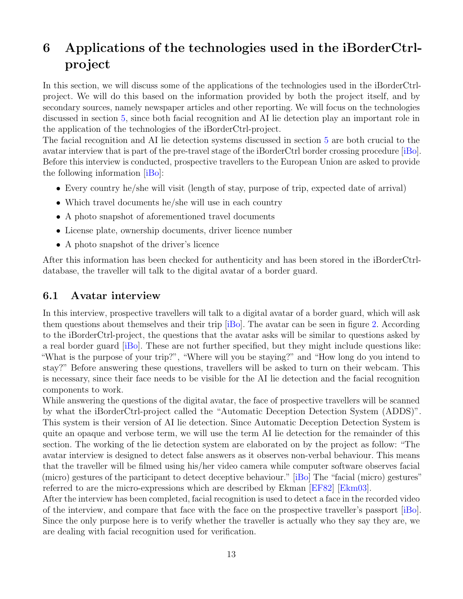# <span id="page-15-0"></span>6 Applications of the technologies used in the iBorderCtrlproject

In this section, we will discuss some of the applications of the technologies used in the iBorderCtrlproject. We will do this based on the information provided by both the project itself, and by secondary sources, namely newspaper articles and other reporting. We will focus on the technologies discussed in section [5,](#page-11-0) since both facial recognition and AI lie detection play an important role in the application of the technologies of the iBorderCtrl-project.

The facial recognition and AI lie detection systems discussed in section [5](#page-11-0) are both crucial to the avatar interview that is part of the pre-travel stage of the iBorderCtrl border crossing procedure [\[iBo\]](#page-31-4). Before this interview is conducted, prospective travellers to the European Union are asked to provide the following information [\[iBo\]](#page-31-4):

- Every country he/she will visit (length of stay, purpose of trip, expected date of arrival)
- Which travel documents he/she will use in each country
- A photo snapshot of aforementioned travel documents
- License plate, ownership documents, driver licence number
- A photo snapshot of the driver's licence

After this information has been checked for authenticity and has been stored in the iBorderCtrldatabase, the traveller will talk to the digital avatar of a border guard.

#### <span id="page-15-1"></span>6.1 Avatar interview

In this interview, prospective travellers will talk to a digital avatar of a border guard, which will ask them questions about themselves and their trip [\[iBo\]](#page-31-4). The avatar can be seen in figure [2.](#page-16-1) According to the iBorderCtrl-project, the questions that the avatar asks will be similar to questions asked by a real border guard [\[iBo\]](#page-31-4). These are not further specified, but they might include questions like: "What is the purpose of your trip?", "Where will you be staying?" and "How long do you intend to stay?" Before answering these questions, travellers will be asked to turn on their webcam. This is necessary, since their face needs to be visible for the AI lie detection and the facial recognition components to work.

While answering the questions of the digital avatar, the face of prospective travellers will be scanned by what the iBorderCtrl-project called the "Automatic Deception Detection System (ADDS)". This system is their version of AI lie detection. Since Automatic Deception Detection System is quite an opaque and verbose term, we will use the term AI lie detection for the remainder of this section. The working of the lie detection system are elaborated on by the project as follow: "The avatar interview is designed to detect false answers as it observes non-verbal behaviour. This means that the traveller will be filmed using his/her video camera while computer software observes facial (micro) gestures of the participant to detect deceptive behaviour." [\[iBo\]](#page-31-4) The "facial (micro) gestures" referred to are the micro-expressions which are described by Ekman [\[EF82\]](#page-31-7) [\[Ekm03\]](#page-31-8).

After the interview has been completed, facial recognition is used to detect a face in the recorded video of the interview, and compare that face with the face on the prospective traveller's passport [\[iBo\]](#page-31-4). Since the only purpose here is to verify whether the traveller is actually who they say they are, we are dealing with facial recognition used for verification.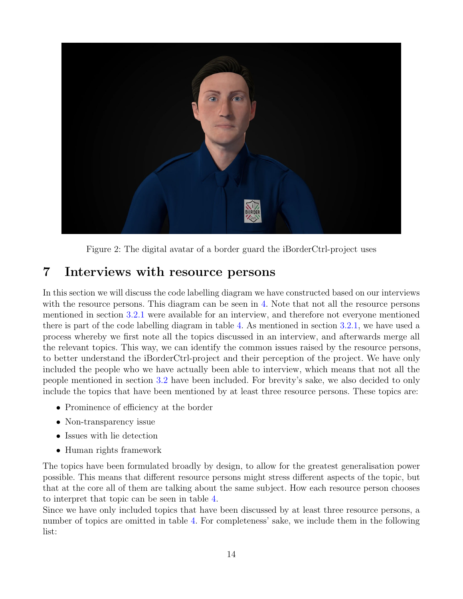

Figure 2: The digital avatar of a border guard the iBorderCtrl-project uses

# <span id="page-16-1"></span><span id="page-16-0"></span>7 Interviews with resource persons

In this section we will discuss the code labelling diagram we have constructed based on our interviews with the resource persons. This diagram can be seen in [4.](#page-18-0) Note that not all the resource persons mentioned in section [3.2.1](#page-7-0) were available for an interview, and therefore not everyone mentioned there is part of the code labelling diagram in table [4.](#page-18-0) As mentioned in section [3.2.1,](#page-7-0) we have used a process whereby we first note all the topics discussed in an interview, and afterwards merge all the relevant topics. This way, we can identify the common issues raised by the resource persons, to better understand the iBorderCtrl-project and their perception of the project. We have only included the people who we have actually been able to interview, which means that not all the people mentioned in section [3.2](#page-6-2) have been included. For brevity's sake, we also decided to only include the topics that have been mentioned by at least three resource persons. These topics are:

- Prominence of efficiency at the border
- Non-transparency issue
- Issues with lie detection
- Human rights framework

The topics have been formulated broadly by design, to allow for the greatest generalisation power possible. This means that different resource persons might stress different aspects of the topic, but that at the core all of them are talking about the same subject. How each resource person chooses to interpret that topic can be seen in table [4.](#page-18-0)

Since we have only included topics that have been discussed by at least three resource persons, a number of topics are omitted in table [4.](#page-18-0) For completeness' sake, we include them in the following list: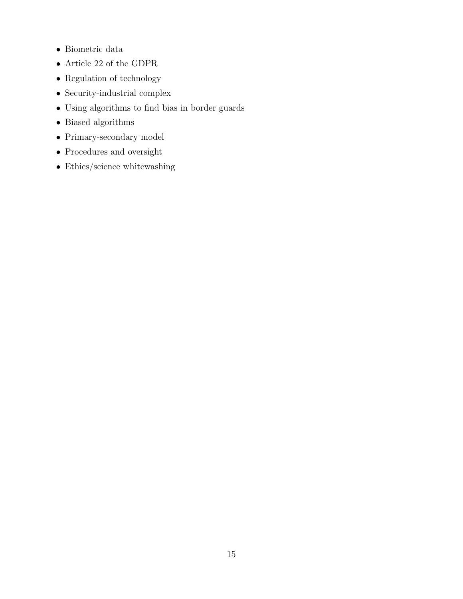- Biometric data
- $\bullet$  Article 22 of the GDPR
- Regulation of technology
- $\bullet\,$  Security-industrial complex
- Using algorithms to find bias in border guards
- Biased algorithms
- Primary-secondary model
- Procedures and oversight
- Ethics/science whitewashing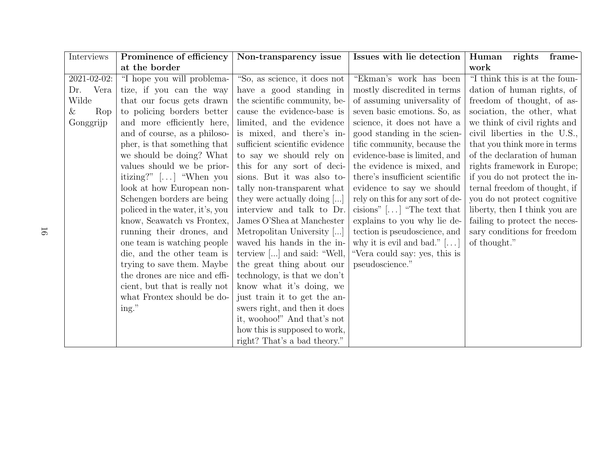<span id="page-18-0"></span>

| Interviews  | Prominence of efficiency        | Non-transparency issue              | Issues with lie detection          | Human rights<br>frame-        |
|-------------|---------------------------------|-------------------------------------|------------------------------------|-------------------------------|
|             | at the border                   |                                     |                                    | work                          |
| 2021-02-02: | "I hope you will problema-      | "So, as science, it does not        | "Ekman's work has been             | "I think this is at the foun- |
| Vera<br>Dr. | tize, if you can the way        | have a good standing in             | mostly discredited in terms        | dation of human rights, of    |
| Wilde       | that our focus gets drawn       | the scientific community, be-       | of assuming universality of        | freedom of thought, of as-    |
| Rop<br>&    | to policing borders better      | cause the evidence-base is          | seven basic emotions. So, as       | sociation, the other, what    |
| Gonggrijp   | and more efficiently here,      | limited, and the evidence           | science, it does not have a        | we think of civil rights and  |
|             | and of course, as a philoso-    | is mixed, and there's in-           | good standing in the scien-        | civil liberties in the U.S.,  |
|             | pher, is that something that    | sufficient scientific evidence      | tific community, because the       | that you think more in terms  |
|             | we should be doing? What        | to say we should rely on            | evidence-base is limited, and      | of the declaration of human   |
|             | values should we be prior-      | this for any sort of deci-          | the evidence is mixed, and         | rights framework in Europe;   |
|             | itizing?" $[\dots]$ "When you   | sions. But it was also to-          | there's insufficient scientific    | if you do not protect the in- |
|             | look at how European non-       | tally non-transparent what          | evidence to say we should          | ternal freedom of thought, if |
|             | Schengen borders are being      | they were actually doing []         | rely on this for any sort of de-   | you do not protect cognitive  |
|             | policed in the water, it's, you | interview and talk to Dr.           | cisions" $[\dots]$ "The text that  | liberty, then I think you are |
|             | know, Seawatch vs Frontex,      | James O'Shea at Manchester          | explains to you why lie de-        | failing to protect the neces- |
|             | running their drones, and       | Metropolitan University []          | tection is pseudoscience, and      | sary conditions for freedom   |
|             | one team is watching people     | waved his hands in the in-          | why it is evil and bad." $[\dots]$ | of thought."                  |
|             | die, and the other team is      | terview $[\ldots]$ and said: "Well, | "Vera could say: yes, this is      |                               |
|             | trying to save them. Maybe      | the great thing about our           | pseudoscience."                    |                               |
|             | the drones are nice and effi-   | technology, is that we don't        |                                    |                               |
|             | cient, but that is really not   | know what it's doing, we            |                                    |                               |
|             | what Frontex should be do-      | just train it to get the an-        |                                    |                               |
|             | ing."                           | swers right, and then it does       |                                    |                               |
|             |                                 | it, woohoo!" And that's not         |                                    |                               |
|             |                                 | how this is supposed to work,       |                                    |                               |
|             |                                 | right? That's a bad theory."        |                                    |                               |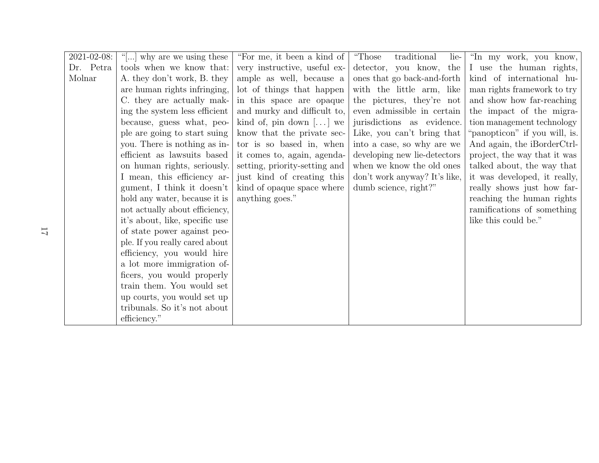| $2021 - 02 - 08$ : | "[] why are we using these     | "For me, it been a kind of     | "Those"<br>traditional<br>lie- | "In my work, you know,        |
|--------------------|--------------------------------|--------------------------------|--------------------------------|-------------------------------|
| Dr. Petra          | tools when we know that:       | very instructive, useful ex-   | detector, you know, the        | I use the human rights,       |
| Molnar             | A. they don't work, B. they    | ample as well, because a       | ones that go back-and-forth    | kind of international hu-     |
|                    | are human rights infringing,   | lot of things that happen      | with the little arm, like      | man rights framework to try   |
|                    | C. they are actually mak-      | in this space are opaque       | the pictures, they're not      | and show how far-reaching     |
|                    | ing the system less efficient  | and murky and difficult to,    | even admissible in certain     | the impact of the migra-      |
|                    | because, guess what, peo-      | kind of, pin down $[\dots]$ we | jurisdictions as evidence.     | tion management technology    |
|                    | ple are going to start suing   | know that the private sec-     | Like, you can't bring that     | "panopticon" if you will, is. |
|                    | you. There is nothing as in-   | tor is so based in, when       | into a case, so why are we     | And again, the iBorderCtrl-   |
|                    | efficient as lawsuits based    | it comes to, again, agenda-    | developing new lie-detectors   | project, the way that it was  |
|                    | on human rights, seriously.    | setting, priority-setting and  | when we know the old ones      | talked about, the way that    |
|                    | I mean, this efficiency ar-    | just kind of creating this     | don't work anyway? It's like,  | it was developed, it really,  |
|                    | gument, I think it doesn't     | kind of opaque space where     | dumb science, right?"          | really shows just how far-    |
|                    | hold any water, because it is  | anything goes."                |                                | reaching the human rights     |
|                    | not actually about efficiency, |                                |                                | ramifications of something    |
|                    | it's about, like, specific use |                                |                                | like this could be."          |
|                    | of state power against peo-    |                                |                                |                               |
|                    | ple. If you really cared about |                                |                                |                               |
|                    | efficiency, you would hire     |                                |                                |                               |
|                    | a lot more immigration of-     |                                |                                |                               |
|                    | ficers, you would properly     |                                |                                |                               |
|                    | train them. You would set      |                                |                                |                               |
|                    | up courts, you would set up    |                                |                                |                               |
|                    | tribunals. So it's not about   |                                |                                |                               |
|                    | efficiency."                   |                                |                                |                               |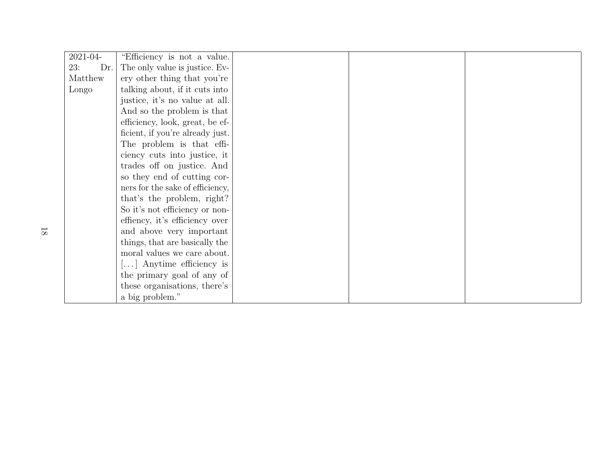| 2021-04-          | "Efficiency is not a value.                 |  |  |
|-------------------|---------------------------------------------|--|--|
| Dr.<br><b>23:</b> | The only value is justice. Ev-              |  |  |
| Matthew           | ery other thing that you're                 |  |  |
| Longo             | talking about, if it cuts into              |  |  |
|                   | justice, it's no value at all.              |  |  |
|                   | And so the problem is that                  |  |  |
|                   | efficiency, look, great, be ef-             |  |  |
|                   | ficient, if you're already just.            |  |  |
|                   | The problem is that effi-                   |  |  |
|                   | ciency cuts into justice, it                |  |  |
|                   | trades off on justice. And                  |  |  |
|                   | so they end of cutting cor-                 |  |  |
|                   | ners for the sake of efficiency,            |  |  |
|                   | that's the problem, right?                  |  |  |
|                   | So it's not efficiency or non-              |  |  |
|                   | effiency, it's efficiency over              |  |  |
|                   | and above very important                    |  |  |
|                   | things, that are basically the              |  |  |
|                   | moral values we care about.                 |  |  |
|                   | $\left[\ldots\right]$ Anytime efficiency is |  |  |
|                   | the primary goal of any of                  |  |  |
|                   | these organisations, there's                |  |  |
|                   | a big problem."                             |  |  |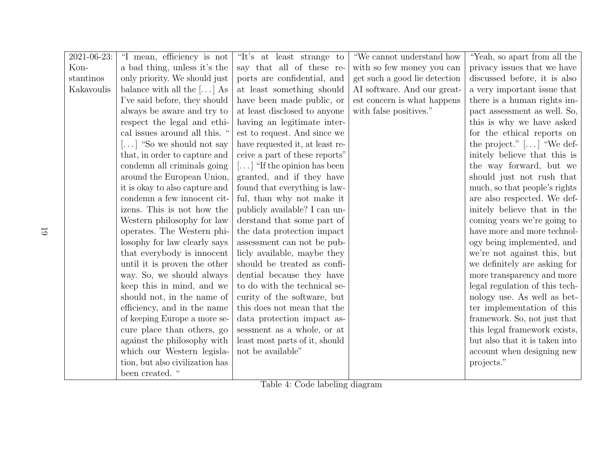| 2021-06-23: | "I mean, efficiency is not                 | "It's at least strange to                      | "We cannot understand how     | "Yeah, so apart from all the   |
|-------------|--------------------------------------------|------------------------------------------------|-------------------------------|--------------------------------|
| Kon-        | a bad thing, unless it's the               | say that all of these re-                      | with so few money you can     | privacy issues that we have    |
| stantinos   | only priority. We should just              | ports are confidential, and                    | get such a good lie detection | discussed before, it is also   |
| Kakavoulis  | balance with all the $[ \dots ]$ As        | at least something should                      | AI software. And our great-   | a very important issue that    |
|             | I've said before, they should              | have been made public, or                      | est concern is what happens   | there is a human rights im-    |
|             | always be aware and try to                 | at least disclosed to anyone                   | with false positives."        | pact assessment as well. So,   |
|             | respect the legal and ethi-                | having an legitimate inter-                    |                               | this is why we have asked      |
|             | cal issues around all this. "              | est to request. And since we                   |                               | for the ethical reports on     |
|             | $\left[\dots\right]$ "So we should not say | have requested it, at least re-                |                               | the project." $[]$ "We def-    |
|             | that, in order to capture and              | ceive a part of these reports"                 |                               | initely believe that this is   |
|             | condemn all criminals going                | $\left[\ldots\right]$ "If the opinion has been |                               | the way forward, but we        |
|             | around the European Union,                 | granted, and if they have                      |                               | should just not rush that      |
|             | it is okay to also capture and             | found that everything is law-                  |                               | much, so that people's rights  |
|             | condemn a few innocent cit-                | ful, than why not make it                      |                               | are also respected. We def-    |
|             | izens. This is not how the                 | publicly available? I can un-                  |                               | initely believe that in the    |
|             | Western philosophy for law                 | derstand that some part of                     |                               | coming years we're going to    |
|             | operates. The Western phi-                 | the data protection impact                     |                               | have more and more technol-    |
|             | losophy for law clearly says               | assessment can not be pub-                     |                               | ogy being implemented, and     |
|             | that everybody is innocent                 | licly available, maybe they                    |                               | we're not against this, but    |
|             | until it is proven the other               | should be treated as confi-                    |                               | we definitely are asking for   |
|             | way. So, we should always                  | dential because they have                      |                               | more transparency and more     |
|             | keep this in mind, and we                  | to do with the technical se-                   |                               | legal regulation of this tech- |
|             | should not, in the name of                 | curity of the software, but                    |                               | nology use. As well as bet-    |
|             | efficiency, and in the name                | this does not mean that the                    |                               | ter implementation of this     |
|             | of keeping Europe a more se-               | data protection impact as-                     |                               | framework. So, not just that   |
|             | cure place than others, go                 | sessment as a whole, or at                     |                               | this legal framework exists,   |
|             | against the philosophy with                | least most parts of it, should                 |                               | but also that it is taken into |
|             | which our Western legisla-                 | not be available"                              |                               | account when designing new     |
|             | tion, but also civilization has            |                                                |                               | projects."                     |
|             | been created. "                            |                                                |                               |                                |

Table 4: Code labeling diagram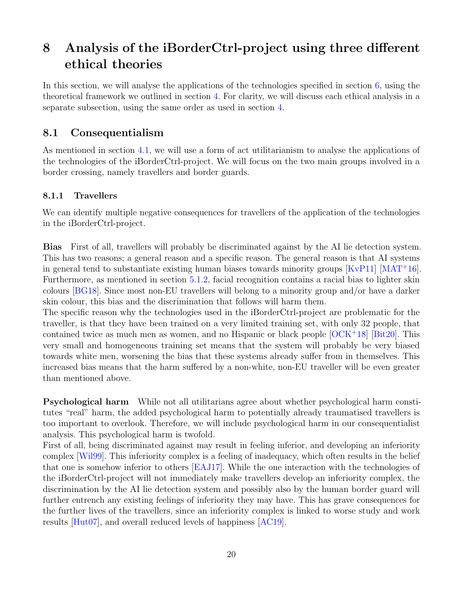# <span id="page-22-0"></span>8 Analysis of the iBorderCtrl-project using three different ethical theories

In this section, we will analyse the applications of the technologies specified in section [6,](#page-15-0) using the theoretical framework we outlined in section [4.](#page-8-0) For clarity, we will discuss each ethical analysis in a separate subsection, using the same order as used in section [4.](#page-8-0)

#### <span id="page-22-1"></span>8.1 Consequentialism

As mentioned in section [4.1,](#page-8-1) we will use a form of act utilitarianism to analyse the applications of the technologies of the iBorderCtrl-project. We will focus on the two main groups involved in a border crossing, namely travellers and border guards.

#### <span id="page-22-2"></span>8.1.1 Travellers

We can identify multiple negative consequences for travellers of the application of the technologies in the iBorderCtrl-project.

Bias First of all, travellers will probably be discriminated against by the AI lie detection system. This has two reasons; a general reason and a specific reason. The general reason is that AI systems in general tend to substantiate existing human biases towards minority groups [\[KvP11\]](#page-31-2) [\[MAT](#page-32-1)<sup>+</sup>16]. Furthermore, as mentioned in section [5.1.2,](#page-13-0) facial recognition contains a racial bias to lighter skin colours [\[BG18\]](#page-30-3). Since most non-EU travellers will belong to a minority group and/or have a darker skin colour, this bias and the discrimination that follows will harm them.

The specific reason why the technologies used in the iBorderCtrl-project are problematic for the traveller, is that they have been trained on a very limited training set, with only 32 people, that contained twice as much men as women, and no Hispanic or black people  $[OCK+18]$  $[OCK+18]$  [\[Bit20\]](#page-30-7). This very small and homogeneous training set means that the system will probably be very biased towards white men, worsening the bias that these systems already suffer from in themselves. This increased bias means that the harm suffered by a non-white, non-EU traveller will be even greater than mentioned above.

Psychological harm While not all utilitarians agree about whether psychological harm constitutes "real" harm, the added psychological harm to potentially already traumatised travellers is too important to overlook. Therefore, we will include psychological harm in our consequentialist analysis. This psychological harm is twofold.

First of all, being discriminated against may result in feeling inferior, and developing an inferiority complex [\[Wil99\]](#page-33-1). This inferiority complex is a feeling of inadequacy, which often results in the belief that one is somehow inferior to others [\[EAJ17\]](#page-30-8). While the one interaction with the technologies of the iBorderCtrl-project will not immediately make travellers develop an inferiority complex, the discrimination by the AI lie detection system and possibly also by the human border guard will further entrench any existing feelings of inferiority they may have. This has grave consequences for the further lives of the travellers, since an inferiority complex is linked to worse study and work results [\[Hut07\]](#page-31-9), and overall reduced levels of happiness [\[AC19\]](#page-30-9).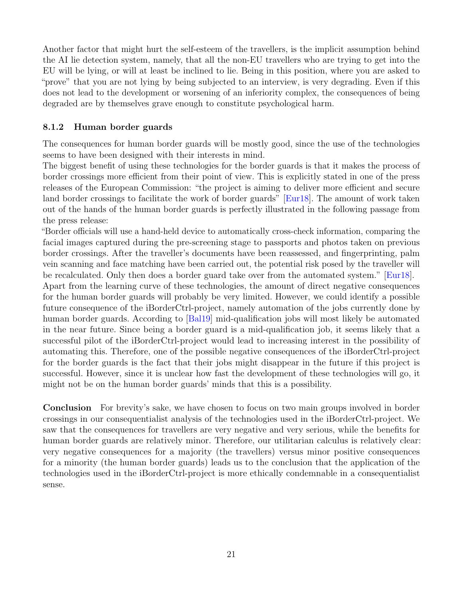Another factor that might hurt the self-esteem of the travellers, is the implicit assumption behind the AI lie detection system, namely, that all the non-EU travellers who are trying to get into the EU will be lying, or will at least be inclined to lie. Being in this position, where you are asked to "prove" that you are not lying by being subjected to an interview, is very degrading. Even if this does not lead to the development or worsening of an inferiority complex, the consequences of being degraded are by themselves grave enough to constitute psychological harm.

#### <span id="page-23-0"></span>8.1.2 Human border guards

The consequences for human border guards will be mostly good, since the use of the technologies seems to have been designed with their interests in mind.

The biggest benefit of using these technologies for the border guards is that it makes the process of border crossings more efficient from their point of view. This is explicitly stated in one of the press releases of the European Commission: "the project is aiming to deliver more efficient and secure land border crossings to facilitate the work of border guards" [\[Eur18\]](#page-31-1). The amount of work taken out of the hands of the human border guards is perfectly illustrated in the following passage from the press release:

"Border officials will use a hand-held device to automatically cross-check information, comparing the facial images captured during the pre-screening stage to passports and photos taken on previous border crossings. After the traveller's documents have been reassessed, and fingerprinting, palm vein scanning and face matching have been carried out, the potential risk posed by the traveller will be recalculated. Only then does a border guard take over from the automated system." [\[Eur18\]](#page-31-1).

Apart from the learning curve of these technologies, the amount of direct negative consequences for the human border guards will probably be very limited. However, we could identify a possible future consequence of the iBorderCtrl-project, namely automation of the jobs currently done by human border guards. According to [\[Bal19\]](#page-30-10) mid-qualification jobs will most likely be automated in the near future. Since being a border guard is a mid-qualification job, it seems likely that a successful pilot of the iBorderCtrl-project would lead to increasing interest in the possibility of automating this. Therefore, one of the possible negative consequences of the iBorderCtrl-project for the border guards is the fact that their jobs might disappear in the future if this project is successful. However, since it is unclear how fast the development of these technologies will go, it might not be on the human border guards' minds that this is a possibility.

Conclusion For brevity's sake, we have chosen to focus on two main groups involved in border crossings in our consequentialist analysis of the technologies used in the iBorderCtrl-project. We saw that the consequences for travellers are very negative and very serious, while the benefits for human border guards are relatively minor. Therefore, our utilitarian calculus is relatively clear: very negative consequences for a majority (the travellers) versus minor positive consequences for a minority (the human border guards) leads us to the conclusion that the application of the technologies used in the iBorderCtrl-project is more ethically condemnable in a consequentialist sense.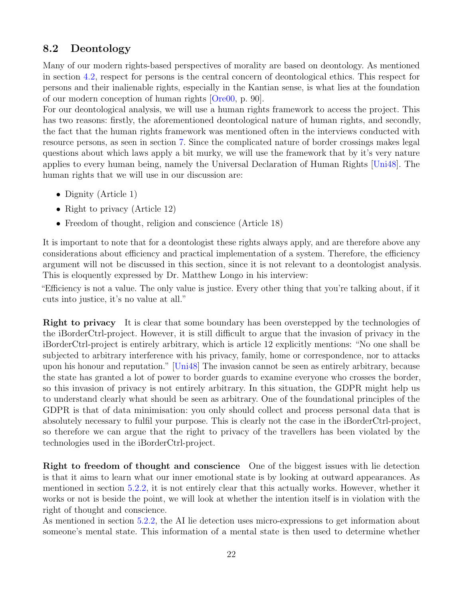#### <span id="page-24-0"></span>8.2 Deontology

Many of our modern rights-based perspectives of morality are based on deontology. As mentioned in section [4.2,](#page-8-2) respect for persons is the central concern of deontological ethics. This respect for persons and their inalienable rights, especially in the Kantian sense, is what lies at the foundation of our modern conception of human rights [\[Ore00,](#page-32-11) p. 90].

For our deontological analysis, we will use a human rights framework to access the project. This has two reasons: firstly, the aforementioned deontological nature of human rights, and secondly, the fact that the human rights framework was mentioned often in the interviews conducted with resource persons, as seen in section [7.](#page-16-0) Since the complicated nature of border crossings makes legal questions about which laws apply a bit murky, we will use the framework that by it's very nature applies to every human being, namely the Universal Declaration of Human Rights [\[Uni48\]](#page-32-12). The human rights that we will use in our discussion are:

- Dignity (Article 1)
- Right to privacy (Article 12)
- Freedom of thought, religion and conscience (Article 18)

It is important to note that for a deontologist these rights always apply, and are therefore above any considerations about efficiency and practical implementation of a system. Therefore, the efficiency argument will not be discussed in this section, since it is not relevant to a deontologist analysis. This is eloquently expressed by Dr. Matthew Longo in his interview:

"Efficiency is not a value. The only value is justice. Every other thing that you're talking about, if it cuts into justice, it's no value at all."

Right to privacy It is clear that some boundary has been overstepped by the technologies of the iBorderCtrl-project. However, it is still difficult to argue that the invasion of privacy in the iBorderCtrl-project is entirely arbitrary, which is article 12 explicitly mentions: "No one shall be subjected to arbitrary interference with his privacy, family, home or correspondence, nor to attacks upon his honour and reputation." [\[Uni48\]](#page-32-12) The invasion cannot be seen as entirely arbitrary, because the state has granted a lot of power to border guards to examine everyone who crosses the border, so this invasion of privacy is not entirely arbitrary. In this situation, the GDPR might help us to understand clearly what should be seen as arbitrary. One of the foundational principles of the GDPR is that of data minimisation: you only should collect and process personal data that is absolutely necessary to fulfil your purpose. This is clearly not the case in the iBorderCtrl-project, so therefore we can argue that the right to privacy of the travellers has been violated by the technologies used in the iBorderCtrl-project.

Right to freedom of thought and conscience One of the biggest issues with lie detection is that it aims to learn what our inner emotional state is by looking at outward appearances. As mentioned in section [5.2.2,](#page-14-0) it is not entirely clear that this actually works. However, whether it works or not is beside the point, we will look at whether the intention itself is in violation with the right of thought and conscience.

As mentioned in section [5.2.2,](#page-14-0) the AI lie detection uses micro-expressions to get information about someone's mental state. This information of a mental state is then used to determine whether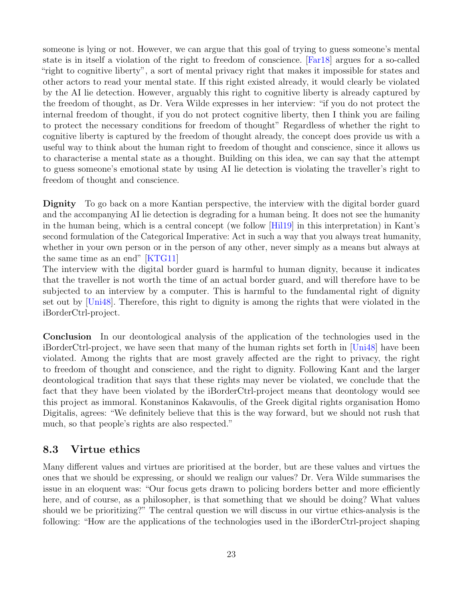someone is lying or not. However, we can argue that this goal of trying to guess someone's mental state is in itself a violation of the right to freedom of conscience. [\[Far18\]](#page-31-10) argues for a so-called "right to cognitive liberty", a sort of mental privacy right that makes it impossible for states and other actors to read your mental state. If this right existed already, it would clearly be violated by the AI lie detection. However, arguably this right to cognitive liberty is already captured by the freedom of thought, as Dr. Vera Wilde expresses in her interview: "if you do not protect the internal freedom of thought, if you do not protect cognitive liberty, then I think you are failing to protect the necessary conditions for freedom of thought" Regardless of whether the right to cognitive liberty is captured by the freedom of thought already, the concept does provide us with a useful way to think about the human right to freedom of thought and conscience, since it allows us to characterise a mental state as a thought. Building on this idea, we can say that the attempt to guess someone's emotional state by using AI lie detection is violating the traveller's right to freedom of thought and conscience.

Dignity To go back on a more Kantian perspective, the interview with the digital border guard and the accompanying AI lie detection is degrading for a human being. It does not see the humanity in the human being, which is a central concept (we follow [\[Hil19\]](#page-31-11) in this interpretation) in Kant's second formulation of the Categorical Imperative: Act in such a way that you always treat humanity, whether in your own person or in the person of any other, never simply as a means but always at the same time as an end" [\[KTG11\]](#page-31-12)

The interview with the digital border guard is harmful to human dignity, because it indicates that the traveller is not worth the time of an actual border guard, and will therefore have to be subjected to an interview by a computer. This is harmful to the fundamental right of dignity set out by [\[Uni48\]](#page-32-12). Therefore, this right to dignity is among the rights that were violated in the iBorderCtrl-project.

Conclusion In our deontological analysis of the application of the technologies used in the iBorderCtrl-project, we have seen that many of the human rights set forth in [\[Uni48\]](#page-32-12) have been violated. Among the rights that are most gravely affected are the right to privacy, the right to freedom of thought and conscience, and the right to dignity. Following Kant and the larger deontological tradition that says that these rights may never be violated, we conclude that the fact that they have been violated by the iBorderCtrl-project means that deontology would see this project as immoral. Konstaninos Kakavoulis, of the Greek digital rights organisation Homo Digitalis, agrees: "We definitely believe that this is the way forward, but we should not rush that much, so that people's rights are also respected."

#### <span id="page-25-0"></span>8.3 Virtue ethics

Many different values and virtues are prioritised at the border, but are these values and virtues the ones that we should be expressing, or should we realign our values? Dr. Vera Wilde summarises the issue in an eloquent was: "Our focus gets drawn to policing borders better and more efficiently here, and of course, as a philosopher, is that something that we should be doing? What values should we be prioritizing?" The central question we will discuss in our virtue ethics-analysis is the following: "How are the applications of the technologies used in the iBorderCtrl-project shaping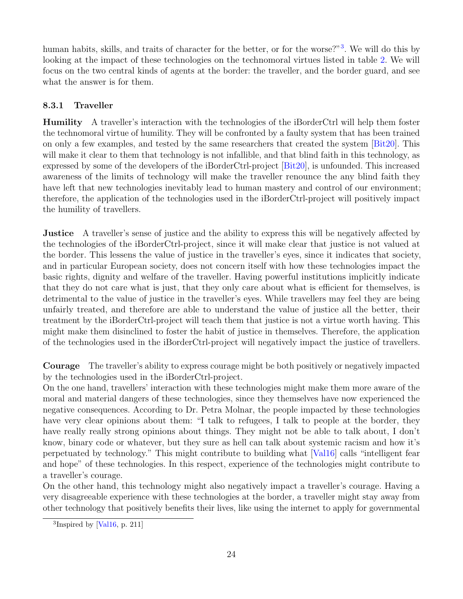human habits, skills, and traits of character for the better, or for the worse?"<sup>[3](#page-26-1)</sup>. We will do this by looking at the impact of these technologies on the technomoral virtues listed in table [2.](#page-10-0) We will focus on the two central kinds of agents at the border: the traveller, and the border guard, and see what the answer is for them.

#### <span id="page-26-0"></span>8.3.1 Traveller

Humility A traveller's interaction with the technologies of the iBorderCtrl will help them foster the technomoral virtue of humility. They will be confronted by a faulty system that has been trained on only a few examples, and tested by the same researchers that created the system  $[\text{Bit20}]$ . This will make it clear to them that technology is not infallible, and that blind faith in this technology, as expressed by some of the developers of the iBorderCtrl-project [\[Bit20\]](#page-30-7), is unfounded. This increased awareness of the limits of technology will make the traveller renounce the any blind faith they have left that new technologies inevitably lead to human mastery and control of our environment; therefore, the application of the technologies used in the iBorderCtrl-project will positively impact the humility of travellers.

**Justice** A traveller's sense of justice and the ability to express this will be negatively affected by the technologies of the iBorderCtrl-project, since it will make clear that justice is not valued at the border. This lessens the value of justice in the traveller's eyes, since it indicates that society, and in particular European society, does not concern itself with how these technologies impact the basic rights, dignity and welfare of the traveller. Having powerful institutions implicitly indicate that they do not care what is just, that they only care about what is efficient for themselves, is detrimental to the value of justice in the traveller's eyes. While travellers may feel they are being unfairly treated, and therefore are able to understand the value of justice all the better, their treatment by the iBorderCtrl-project will teach them that justice is not a virtue worth having. This might make them disinclined to foster the habit of justice in themselves. Therefore, the application of the technologies used in the iBorderCtrl-project will negatively impact the justice of travellers.

Courage The traveller's ability to express courage might be both positively or negatively impacted by the technologies used in the iBorderCtrl-project.

On the one hand, travellers' interaction with these technologies might make them more aware of the moral and material dangers of these technologies, since they themselves have now experienced the negative consequences. According to Dr. Petra Molnar, the people impacted by these technologies have very clear opinions about them: "I talk to refugees, I talk to people at the border, they have really really strong opinions about things. They might not be able to talk about, I don't know, binary code or whatever, but they sure as hell can talk about systemic racism and how it's perpetuated by technology." This might contribute to building what [\[Val16\]](#page-33-0) calls "intelligent fear and hope" of these technologies. In this respect, experience of the technologies might contribute to a traveller's courage.

On the other hand, this technology might also negatively impact a traveller's courage. Having a very disagreeable experience with these technologies at the border, a traveller might stay away from other technology that positively benefits their lives, like using the internet to apply for governmental

<span id="page-26-1"></span><sup>&</sup>lt;sup>3</sup>Inspired by [\[Val16,](#page-33-0) p. 211]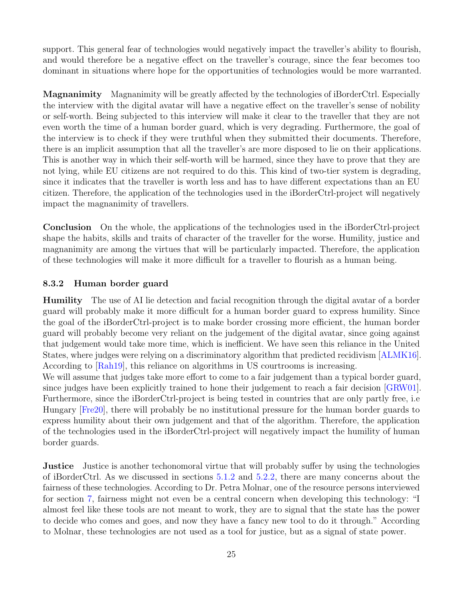support. This general fear of technologies would negatively impact the traveller's ability to flourish, and would therefore be a negative effect on the traveller's courage, since the fear becomes too dominant in situations where hope for the opportunities of technologies would be more warranted.

Magnanimity Magnanimity will be greatly affected by the technologies of iBorderCtrl. Especially the interview with the digital avatar will have a negative effect on the traveller's sense of nobility or self-worth. Being subjected to this interview will make it clear to the traveller that they are not even worth the time of a human border guard, which is very degrading. Furthermore, the goal of the interview is to check if they were truthful when they submitted their documents. Therefore, there is an implicit assumption that all the traveller's are more disposed to lie on their applications. This is another way in which their self-worth will be harmed, since they have to prove that they are not lying, while EU citizens are not required to do this. This kind of two-tier system is degrading, since it indicates that the traveller is worth less and has to have different expectations than an EU citizen. Therefore, the application of the technologies used in the iBorderCtrl-project will negatively impact the magnanimity of travellers.

Conclusion On the whole, the applications of the technologies used in the iBorderCtrl-project shape the habits, skills and traits of character of the traveller for the worse. Humility, justice and magnanimity are among the virtues that will be particularly impacted. Therefore, the application of these technologies will make it more difficult for a traveller to flourish as a human being.

#### <span id="page-27-0"></span>8.3.2 Human border guard

Humility The use of AI lie detection and facial recognition through the digital avatar of a border guard will probably make it more difficult for a human border guard to express humility. Since the goal of the iBorderCtrl-project is to make border crossing more efficient, the human border guard will probably become very reliant on the judgement of the digital avatar, since going against that judgement would take more time, which is inefficient. We have seen this reliance in the United States, where judges were relying on a discriminatory algorithm that predicted recidivism [\[ALMK16\]](#page-30-11). According to [\[Rah19\]](#page-32-13), this reliance on algorithms in US courtrooms is increasing.

We will assume that judges take more effort to come to a fair judgement than a typical border guard, since judges have been explicitly trained to hone their judgement to reach a fair decision [\[GRW01\]](#page-31-13). Furthermore, since the iBorderCtrl-project is being tested in countries that are only partly free, i.e Hungary [\[Fre20\]](#page-31-14), there will probably be no institutional pressure for the human border guards to express humility about their own judgement and that of the algorithm. Therefore, the application of the technologies used in the iBorderCtrl-project will negatively impact the humility of human border guards.

**Justice** Justice is another techonomoral virtue that will probably suffer by using the technologies of iBorderCtrl. As we discussed in sections [5.1.2](#page-13-0) and [5.2.2,](#page-14-0) there are many concerns about the fairness of these technologies. According to Dr. Petra Molnar, one of the resource persons interviewed for section [7,](#page-16-0) fairness might not even be a central concern when developing this technology: "I almost feel like these tools are not meant to work, they are to signal that the state has the power to decide who comes and goes, and now they have a fancy new tool to do it through." According to Molnar, these technologies are not used as a tool for justice, but as a signal of state power.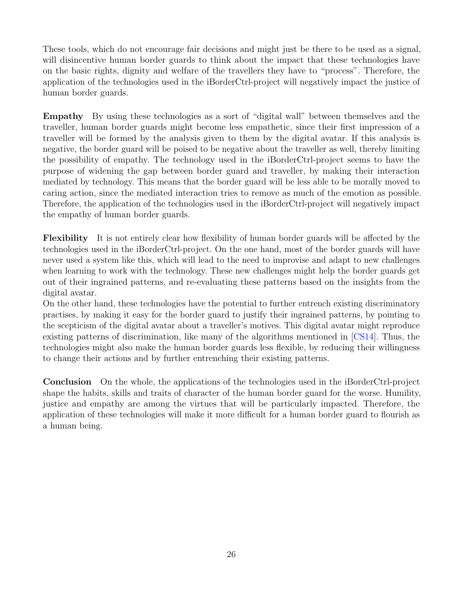These tools, which do not encourage fair decisions and might just be there to be used as a signal, will disincentive human border guards to think about the impact that these technologies have on the basic rights, dignity and welfare of the travellers they have to "process". Therefore, the application of the technologies used in the iBorderCtrl-project will negatively impact the justice of human border guards.

Empathy By using these technologies as a sort of "digital wall" between themselves and the traveller, human border guards might become less empathetic, since their first impression of a traveller will be formed by the analysis given to them by the digital avatar. If this analysis is negative, the border guard will be poised to be negative about the traveller as well, thereby limiting the possibility of empathy. The technology used in the iBorderCtrl-project seems to have the purpose of widening the gap between border guard and traveller, by making their interaction mediated by technology. This means that the border guard will be less able to be morally moved to caring action, since the mediated interaction tries to remove as much of the emotion as possible. Therefore, the application of the technologies used in the iBorderCtrl-project will negatively impact the empathy of human border guards.

Flexibility It is not entirely clear how flexibility of human border guards will be affected by the technologies used in the iBorderCtrl-project. On the one hand, most of the border guards will have never used a system like this, which will lead to the need to improvise and adapt to new challenges when learning to work with the technology. These new challenges might help the border guards get out of their ingrained patterns, and re-evaluating these patterns based on the insights from the digital avatar.

On the other hand, these technologies have the potential to further entrench existing discriminatory practises, by making it easy for the border guard to justify their ingrained patterns, by pointing to the scepticism of the digital avatar about a traveller's motives. This digital avatar might reproduce existing patterns of discrimination, like many of the algorithms mentioned in [\[CS14\]](#page-30-12). Thus, the technologies might also make the human border guards less flexible, by reducing their willingness to change their actions and by further entrenching their existing patterns.

Conclusion On the whole, the applications of the technologies used in the iBorderCtrl-project shape the habits, skills and traits of character of the human border guard for the worse. Humility, justice and empathy are among the virtues that will be particularly impacted. Therefore, the application of these technologies will make it more difficult for a human border guard to flourish as a human being.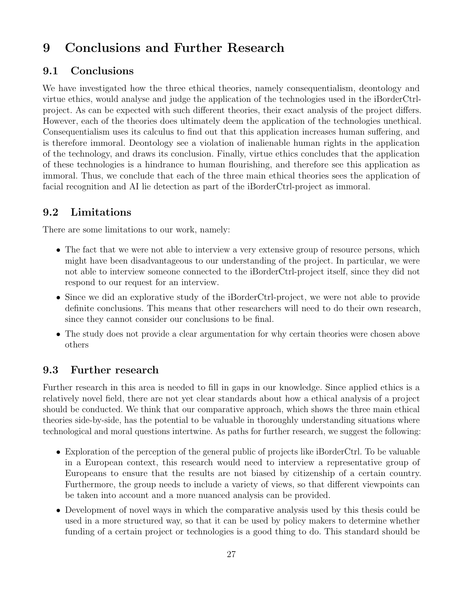# <span id="page-29-0"></span>9 Conclusions and Further Research

### <span id="page-29-1"></span>9.1 Conclusions

We have investigated how the three ethical theories, namely consequentialism, deontology and virtue ethics, would analyse and judge the application of the technologies used in the iBorderCtrlproject. As can be expected with such different theories, their exact analysis of the project differs. However, each of the theories does ultimately deem the application of the technologies unethical. Consequentialism uses its calculus to find out that this application increases human suffering, and is therefore immoral. Deontology see a violation of inalienable human rights in the application of the technology, and draws its conclusion. Finally, virtue ethics concludes that the application of these technologies is a hindrance to human flourishing, and therefore see this application as immoral. Thus, we conclude that each of the three main ethical theories sees the application of facial recognition and AI lie detection as part of the iBorderCtrl-project as immoral.

# <span id="page-29-2"></span>9.2 Limitations

There are some limitations to our work, namely:

- The fact that we were not able to interview a very extensive group of resource persons, which might have been disadvantageous to our understanding of the project. In particular, we were not able to interview someone connected to the iBorderCtrl-project itself, since they did not respond to our request for an interview.
- Since we did an explorative study of the iBorderCtrl-project, we were not able to provide definite conclusions. This means that other researchers will need to do their own research, since they cannot consider our conclusions to be final.
- The study does not provide a clear argumentation for why certain theories were chosen above others

### <span id="page-29-3"></span>9.3 Further research

Further research in this area is needed to fill in gaps in our knowledge. Since applied ethics is a relatively novel field, there are not yet clear standards about how a ethical analysis of a project should be conducted. We think that our comparative approach, which shows the three main ethical theories side-by-side, has the potential to be valuable in thoroughly understanding situations where technological and moral questions intertwine. As paths for further research, we suggest the following:

- Exploration of the perception of the general public of projects like iBorderCtrl. To be valuable in a European context, this research would need to interview a representative group of Europeans to ensure that the results are not biased by citizenship of a certain country. Furthermore, the group needs to include a variety of views, so that different viewpoints can be taken into account and a more nuanced analysis can be provided.
- Development of novel ways in which the comparative analysis used by this thesis could be used in a more structured way, so that it can be used by policy makers to determine whether funding of a certain project or technologies is a good thing to do. This standard should be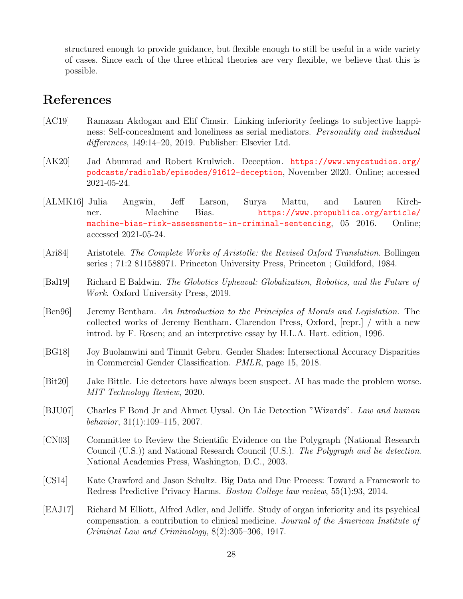structured enough to provide guidance, but flexible enough to still be useful in a wide variety of cases. Since each of the three ethical theories are very flexible, we believe that this is possible.

# <span id="page-30-0"></span>References

- <span id="page-30-9"></span>[AC19] Ramazan Akdogan and Elif Cimsir. Linking inferiority feelings to subjective happiness: Self-concealment and loneliness as serial mediators. Personality and individual differences, 149:14–20, 2019. Publisher: Elsevier Ltd.
- <span id="page-30-5"></span>[AK20] Jad Abumrad and Robert Krulwich. Deception. [https://www.wnycstudios.org/](https://www.wnycstudios.org/podcasts/radiolab/episodes/91612-deception) [podcasts/radiolab/episodes/91612-deception](https://www.wnycstudios.org/podcasts/radiolab/episodes/91612-deception), November 2020. Online; accessed 2021-05-24.
- <span id="page-30-11"></span>[ALMK16] Julia Angwin, Jeff Larson, Surya Mattu, and Lauren Kirchner. Machine Bias. [https://www.propublica.org/article/](https://www.propublica.org/article/machine-bias-risk-assessments-in-criminal-sentencing) [machine-bias-risk-assessments-in-criminal-sentencing](https://www.propublica.org/article/machine-bias-risk-assessments-in-criminal-sentencing), 05 2016. Online; accessed 2021-05-24.
- <span id="page-30-2"></span>[Ari84] Aristotele. The Complete Works of Aristotle: the Revised Oxford Translation. Bollingen series ; 71:2 811588971. Princeton University Press, Princeton ; Guildford, 1984.
- <span id="page-30-10"></span>[Bal19] Richard E Baldwin. The Globotics Upheaval: Globalization, Robotics, and the Future of Work. Oxford University Press, 2019.
- <span id="page-30-1"></span>[Ben96] Jeremy Bentham. An Introduction to the Principles of Morals and Legislation. The collected works of Jeremy Bentham. Clarendon Press, Oxford, [repr.] / with a new introd. by F. Rosen; and an interpretive essay by H.L.A. Hart. edition, 1996.
- <span id="page-30-3"></span>[BG18] Joy Buolamwini and Timnit Gebru. Gender Shades: Intersectional Accuracy Disparities in Commercial Gender Classification. PMLR, page 15, 2018.
- <span id="page-30-7"></span>[Bit20] Jake Bittle. Lie detectors have always been suspect. AI has made the problem worse. MIT Technology Review, 2020.
- <span id="page-30-4"></span>[BJU07] Charles F Bond Jr and Ahmet Uysal. On Lie Detection "Wizards". Law and human behavior, 31(1):109–115, 2007.
- <span id="page-30-6"></span>[CN03] Committee to Review the Scientific Evidence on the Polygraph (National Research Council (U.S.)) and National Research Council (U.S.). The Polygraph and lie detection. National Academies Press, Washington, D.C., 2003.
- <span id="page-30-12"></span>[CS14] Kate Crawford and Jason Schultz. Big Data and Due Process: Toward a Framework to Redress Predictive Privacy Harms. Boston College law review, 55(1):93, 2014.
- <span id="page-30-8"></span>[EAJ17] Richard M Elliott, Alfred Adler, and Jelliffe. Study of organ inferiority and its psychical compensation. a contribution to clinical medicine. Journal of the American Institute of Criminal Law and Criminology, 8(2):305–306, 1917.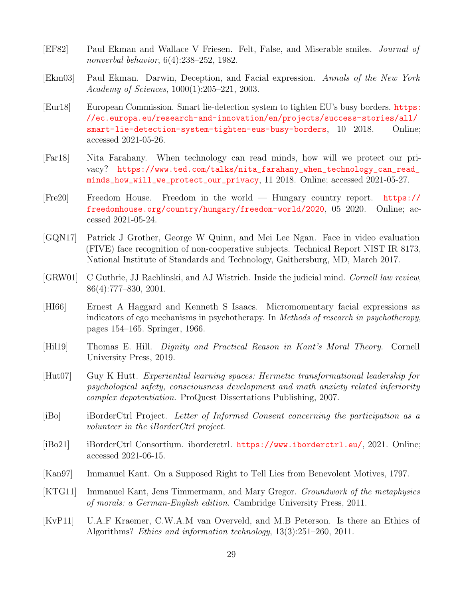- <span id="page-31-7"></span>[EF82] Paul Ekman and Wallace V Friesen. Felt, False, and Miserable smiles. Journal of nonverbal behavior, 6(4):238–252, 1982.
- <span id="page-31-8"></span>[Ekm03] Paul Ekman. Darwin, Deception, and Facial expression. Annals of the New York Academy of Sciences, 1000(1):205–221, 2003.
- <span id="page-31-1"></span>[Eur18] European Commission. Smart lie-detection system to tighten EU's busy borders. [https:](https://ec.europa.eu/research-and-innovation/en/projects/success-stories/all/smart-lie-detection-system-tighten-eus-busy-borders) [//ec.europa.eu/research-and-innovation/en/projects/success-stories/all/](https://ec.europa.eu/research-and-innovation/en/projects/success-stories/all/smart-lie-detection-system-tighten-eus-busy-borders) [smart-lie-detection-system-tighten-eus-busy-borders](https://ec.europa.eu/research-and-innovation/en/projects/success-stories/all/smart-lie-detection-system-tighten-eus-busy-borders), 10 2018. Online; accessed 2021-05-26.
- <span id="page-31-10"></span>[Far18] Nita Farahany. When technology can read minds, how will we protect our privacy? [https://www.ted.com/talks/nita\\_farahany\\_when\\_technology\\_can\\_read\\_](https://www.ted.com/talks/nita_farahany_when_technology_can_read_minds_how_will_we_protect_our_privacy) [minds\\_how\\_will\\_we\\_protect\\_our\\_privacy](https://www.ted.com/talks/nita_farahany_when_technology_can_read_minds_how_will_we_protect_our_privacy), 11 2018. Online; accessed 2021-05-27.
- <span id="page-31-14"></span>[Fre20] Freedom House. Freedom in the world — Hungary country report. [https://](https://freedomhouse.org/country/hungary/freedom-world/2020) [freedomhouse.org/country/hungary/freedom-world/2020](https://freedomhouse.org/country/hungary/freedom-world/2020), 05 2020. Online; accessed 2021-05-24.
- <span id="page-31-5"></span>[GQN17] Patrick J Grother, George W Quinn, and Mei Lee Ngan. Face in video evaluation (FIVE) face recognition of non-cooperative subjects. Technical Report NIST IR 8173, National Institute of Standards and Technology, Gaithersburg, MD, March 2017.
- <span id="page-31-13"></span>[GRW01] C Guthrie, JJ Rachlinski, and AJ Wistrich. Inside the judicial mind. Cornell law review, 86(4):777–830, 2001.
- <span id="page-31-6"></span>[HI66] Ernest A Haggard and Kenneth S Isaacs. Micromomentary facial expressions as indicators of ego mechanisms in psychotherapy. In Methods of research in psychotherapy, pages 154–165. Springer, 1966.
- <span id="page-31-11"></span>[Hil19] Thomas E. Hill. Dignity and Practical Reason in Kant's Moral Theory. Cornell University Press, 2019.
- <span id="page-31-9"></span>[Hut07] Guy K Hutt. Experiential learning spaces: Hermetic transformational leadership for psychological safety, consciousness development and math anxiety related inferiority complex depotentiation. ProQuest Dissertations Publishing, 2007.
- <span id="page-31-4"></span>[iBo] iBorderCtrl Project. Letter of Informed Consent concerning the participation as a volunteer in the iBorderCtrl project.
- <span id="page-31-0"></span>[iBo21] iBorderCtrl Consortium. iborderctrl. <https://www.iborderctrl.eu/>, 2021. Online; accessed 2021-06-15.
- <span id="page-31-3"></span>[Kan97] Immanuel Kant. On a Supposed Right to Tell Lies from Benevolent Motives, 1797.
- <span id="page-31-12"></span>[KTG11] Immanuel Kant, Jens Timmermann, and Mary Gregor. Groundwork of the metaphysics of morals: a German-English edition. Cambridge University Press, 2011.
- <span id="page-31-2"></span>[KvP11] U.A.F Kraemer, C.W.A.M van Overveld, and M.B Peterson. Is there an Ethics of Algorithms? Ethics and information technology, 13(3):251–260, 2011.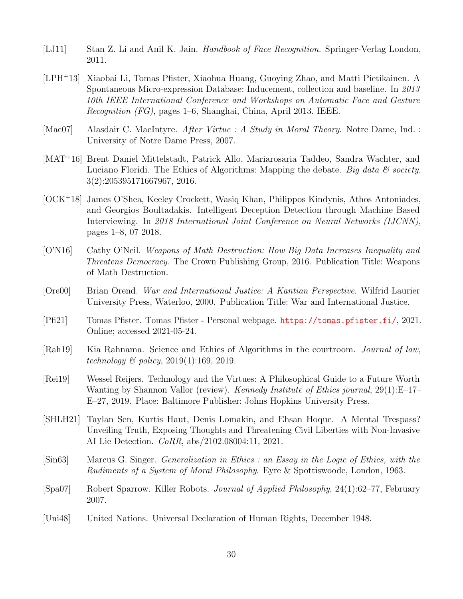- <span id="page-32-7"></span>[LJ11] Stan Z. Li and Anil K. Jain. *Handbook of Face Recognition*. Springer-Verlag London, 2011.
- <span id="page-32-9"></span>[LPH<sup>+</sup>13] Xiaobai Li, Tomas Pfister, Xiaohua Huang, Guoying Zhao, and Matti Pietikainen. A Spontaneous Micro-expression Database: Inducement, collection and baseline. In 2013 10th IEEE International Conference and Workshops on Automatic Face and Gesture Recognition (FG), pages 1–6, Shanghai, China, April 2013. IEEE.
- <span id="page-32-6"></span>[Mac07] Alasdair C. MacIntyre. After Virtue : A Study in Moral Theory. Notre Dame, Ind. : University of Notre Dame Press, 2007.
- <span id="page-32-1"></span>[MAT<sup>+</sup>16] Brent Daniel Mittelstadt, Patrick Allo, Mariarosaria Taddeo, Sandra Wachter, and Luciano Floridi. The Ethics of Algorithms: Mapping the debate. Big data  $\mathcal C$  society, 3(2):205395171667967, 2016.
- <span id="page-32-8"></span>[OCK<sup>+</sup>18] James O'Shea, Keeley Crockett, Wasiq Khan, Philippos Kindynis, Athos Antoniades, and Georgios Boultadakis. Intelligent Deception Detection through Machine Based Interviewing. In 2018 International Joint Conference on Neural Networks (IJCNN), pages 1–8, 07 2018.
- <span id="page-32-0"></span>[O'N16] Cathy O'Neil. Weapons of Math Destruction: How Big Data Increases Inequality and Threatens Democracy. The Crown Publishing Group, 2016. Publication Title: Weapons of Math Destruction.
- <span id="page-32-11"></span>[Ore00] Brian Orend. War and International Justice: A Kantian Perspective. Wilfrid Laurier University Press, Waterloo, 2000. Publication Title: War and International Justice.
- <span id="page-32-10"></span>[Pfi21] Tomas Pfister. Tomas Pfister - Personal webpage. <https://tomas.pfister.fi/>, 2021. Online; accessed 2021-05-24.
- <span id="page-32-13"></span>[Rah19] Kia Rahnama. Science and Ethics of Algorithms in the courtroom. Journal of law, technology & policy, 2019(1):169, 2019.
- <span id="page-32-4"></span>[Rei19] Wessel Reijers. Technology and the Virtues: A Philosophical Guide to a Future Worth Wanting by Shannon Vallor (review). *Kennedy Institute of Ethics journal*, 29(1):E–17– E–27, 2019. Place: Baltimore Publisher: Johns Hopkins University Press.
- <span id="page-32-3"></span>[SHLH21] Taylan Sen, Kurtis Haut, Denis Lomakin, and Ehsan Hoque. A Mental Trespass? Unveiling Truth, Exposing Thoughts and Threatening Civil Liberties with Non-Invasive AI Lie Detection. CoRR, abs/2102.08004:11, 2021.
- <span id="page-32-5"></span>[Sin63] Marcus G. Singer. Generalization in Ethics : an Essay in the Logic of Ethics, with the Rudiments of a System of Moral Philosophy. Eyre & Spottiswoode, London, 1963.
- <span id="page-32-2"></span>[Spa07] Robert Sparrow. Killer Robots. Journal of Applied Philosophy, 24(1):62–77, February 2007.
- <span id="page-32-12"></span>[Uni48] United Nations. Universal Declaration of Human Rights, December 1948.